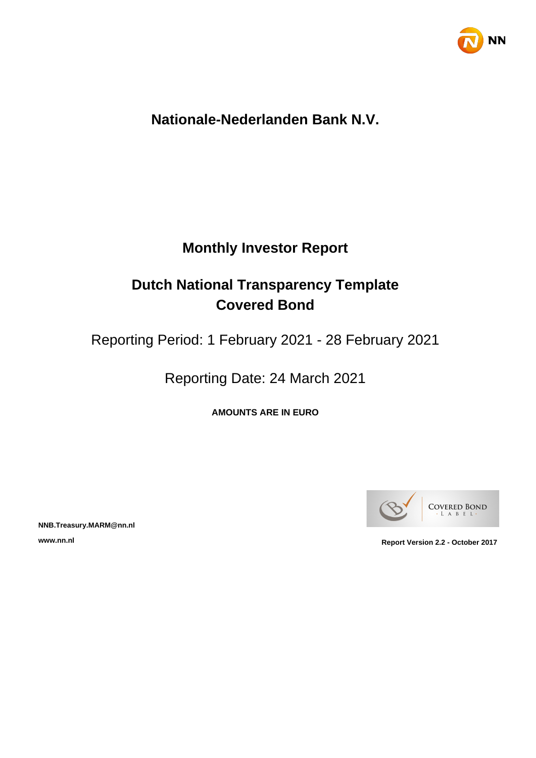

## **Nationale-Nederlanden Bank N.V.**

## **Monthly Investor Report**

## **Dutch National Transparency Template Covered Bond**

Reporting Period: 1 February 2021 - 28 February 2021

Reporting Date: 24 March 2021

**AMOUNTS ARE IN EURO**



**NNB.Treasury.MARM@nn.nl**

**www.nn.nl Report Version 2.2 - October 2017**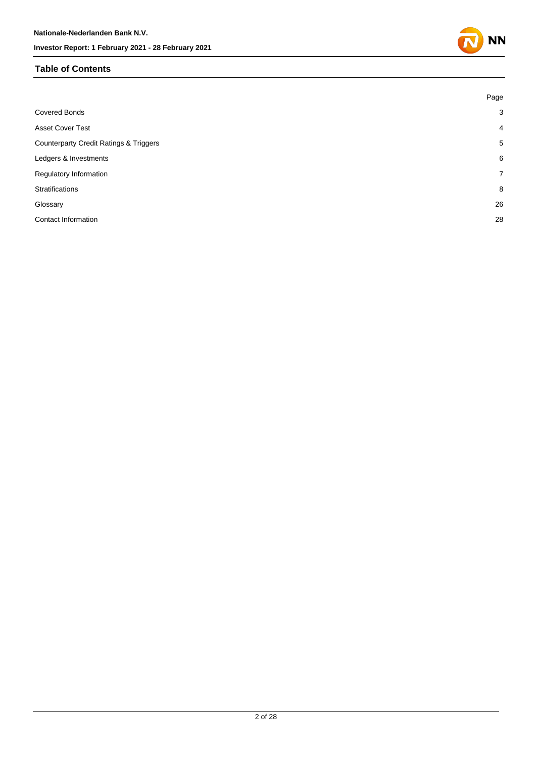#### **Table of Contents**

|                                                   | Page           |
|---------------------------------------------------|----------------|
| <b>Covered Bonds</b>                              | 3              |
| <b>Asset Cover Test</b>                           | $\overline{4}$ |
| <b>Counterparty Credit Ratings &amp; Triggers</b> | 5              |
| Ledgers & Investments                             | 6              |
| Regulatory Information                            | $\overline{7}$ |
| Stratifications                                   | 8              |
| Glossary                                          | 26             |
| <b>Contact Information</b>                        | 28             |
|                                                   |                |

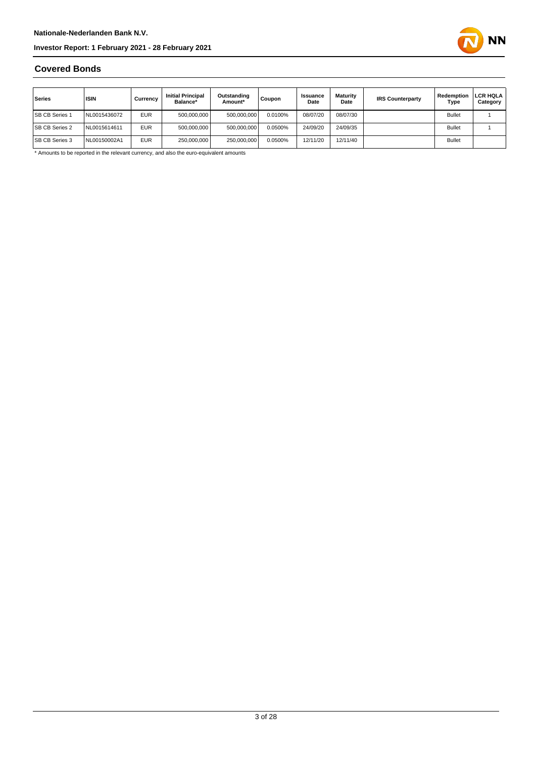

#### **Covered Bonds**

| Series                | <b>ISIN</b>  | Currencv   | <b>Initial Principal</b><br>Balance* | Outstanding<br>Amount* | Coupon  | Issuance<br>Date | <b>Maturity</b><br>Date | <b>IRS Counterparty</b> | Redemption<br>Type | LCR HQLA<br>Category |
|-----------------------|--------------|------------|--------------------------------------|------------------------|---------|------------------|-------------------------|-------------------------|--------------------|----------------------|
| <b>SB CB Series 1</b> | NL0015436072 | <b>EUR</b> | 500.000.000                          | 500.000.000            | 0.0100% | 08/07/20         | 08/07/30                |                         | <b>Bullet</b>      |                      |
| <b>SB CB Series 2</b> | NL0015614611 | <b>EUR</b> | 500.000.000                          | 500.000.000            | 0.0500% | 24/09/20         | 24/09/35                |                         | <b>Bullet</b>      |                      |
| <b>SB CB Series 3</b> | NL00150002A1 | <b>EUR</b> | 250,000,000                          | 250,000,000            | 0.0500% | 12/11/20         | 12/11/40                |                         | <b>Bullet</b>      |                      |

\* Amounts to be reported in the relevant currency, and also the euro-equivalent amounts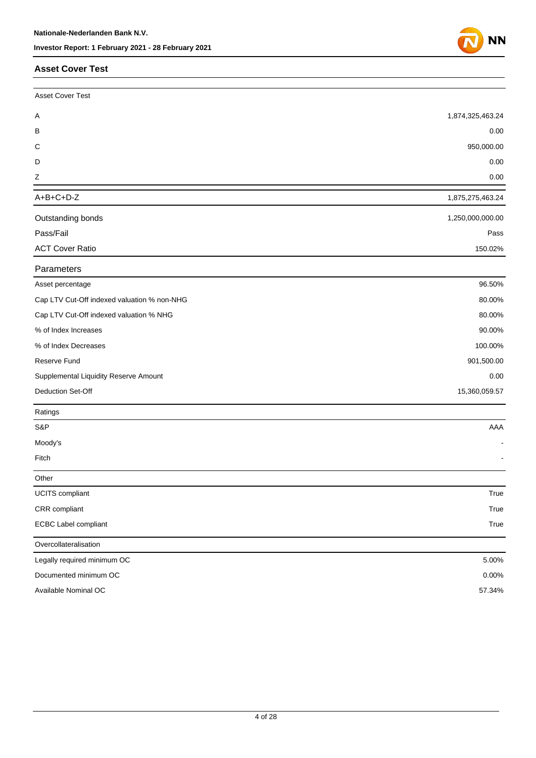#### **Asset Cover Test**

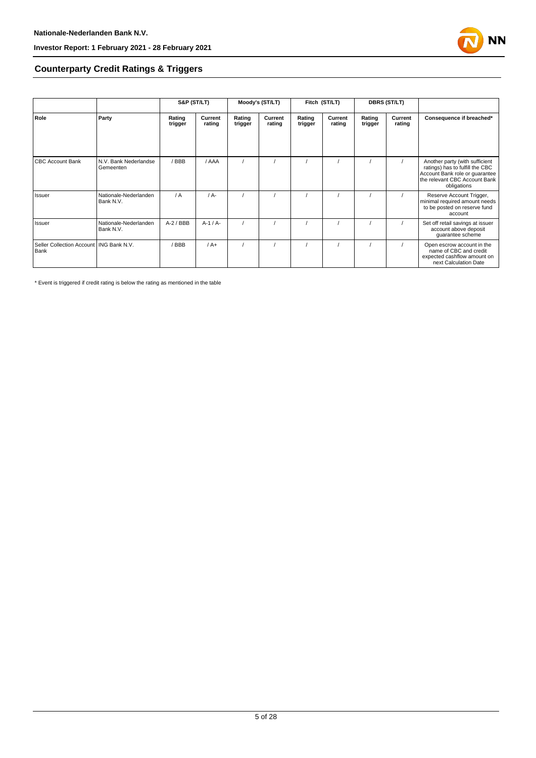

#### **Counterparty Credit Ratings & Triggers**

|                                                   |                                    | S&P (ST/LT)       |                   | Moody's (ST/LT)   |                   | Fitch (ST/LT)     |                   | <b>DBRS (ST/LT)</b> |                   |                                                                                                                   |  |
|---------------------------------------------------|------------------------------------|-------------------|-------------------|-------------------|-------------------|-------------------|-------------------|---------------------|-------------------|-------------------------------------------------------------------------------------------------------------------|--|
| Role                                              | Party                              | Rating<br>trigger | Current<br>rating | Rating<br>trigger | Current<br>rating | Rating<br>trigger | Current<br>rating | Rating<br>trigger   | Current<br>rating | Consequence if breached*                                                                                          |  |
| <b>CBC Account Bank</b>                           | N.V. Bank Nederlandse              | / BBB             | / AAA             |                   |                   |                   |                   |                     |                   | Another party (with sufficient                                                                                    |  |
|                                                   | Gemeenten                          |                   |                   |                   |                   |                   |                   |                     |                   | ratings) has to fulfill the CBC<br>Account Bank role or quarantee<br>the relevant CBC Account Bank<br>obligations |  |
| Issuer                                            | Nationale-Nederlanden<br>Bank N.V. | / A               | $/A -$            |                   |                   |                   |                   |                     |                   | Reserve Account Trigger,<br>minimal required amount needs<br>to be posted on reserve fund<br>account              |  |
| Issuer                                            | Nationale-Nederlanden<br>Bank N.V. | $A-2$ / BBB       | $A-1/A-$          |                   |                   |                   |                   |                     |                   | Set off retail savings at issuer<br>account above deposit<br>guarantee scheme                                     |  |
| Seller Collection Account   ING Bank N.V.<br>Bank |                                    | BBB               | $/A+$             |                   |                   |                   |                   |                     |                   | Open escrow account in the<br>name of CBC and credit<br>expected cashflow amount on<br>next Calculation Date      |  |

\* Event is triggered if credit rating is below the rating as mentioned in the table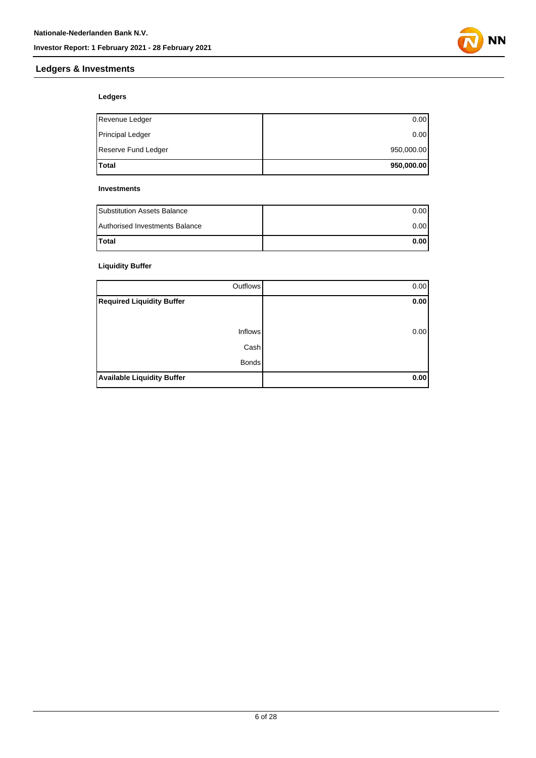

#### **Ledgers & Investments**

#### **Ledgers**

| Total                   | 950,000.00 |
|-------------------------|------------|
| Reserve Fund Ledger     | 950,000.00 |
| <b>Principal Ledger</b> | 0.00       |
| Revenue Ledger          | 0.00       |

#### **Investments**

| <b>Substitution Assets Balance</b> | 0.001 |
|------------------------------------|-------|
| Authorised Investments Balance     | 0.001 |
| <b>Total</b>                       | 0.001 |

#### **Liquidity Buffer**

| Outflows                          | 0.00 |
|-----------------------------------|------|
| <b>Required Liquidity Buffer</b>  | 0.00 |
|                                   |      |
| <b>Inflows</b>                    | 0.00 |
| Cash                              |      |
| <b>Bonds</b>                      |      |
| <b>Available Liquidity Buffer</b> | 0.00 |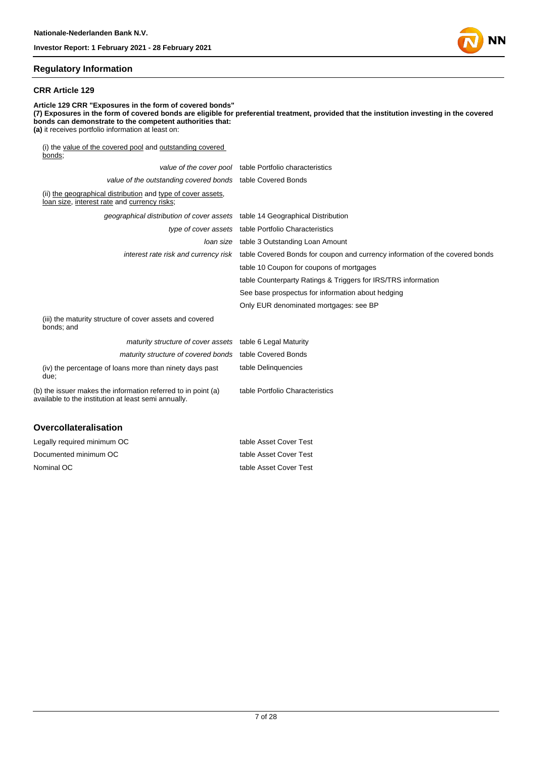#### **Regulatory Information**

#### **CRR Article 129**

**Article 129 CRR "Exposures in the form of covered bonds" (7) Exposures in the form of covered bonds are eligible for preferential treatment, provided that the institution investing in the covered bonds can demonstrate to the competent authorities that: (a)** it receives portfolio information at least on: (i) the value of the covered pool and outstanding covered bonds; value of the cover pool table Portfolio characteristics value of the outstanding covered bonds table Covered Bonds (ii) the geographical distribution and type of cover assets, loan size, interest rate and currency risks; geographical distribution of cover assets table 14 Geographical Distribution type of cover assets table Portfolio Characteristics loan size table 3 Outstanding Loan Amount interest rate risk and currency risk table Covered Bonds for coupon and currency information of the covered bonds table 10 Coupon for coupons of mortgages table Counterparty Ratings & Triggers for IRS/TRS information See base prospectus for information about hedging Only EUR denominated mortgages: see BP (iii) the maturity structure of cover assets and covered bonds; and

| <i>maturity structure of cover assets</i> table 6 Legal Maturity                                                      |                                 |
|-----------------------------------------------------------------------------------------------------------------------|---------------------------------|
| maturity structure of covered bonds table Covered Bonds                                                               |                                 |
| (iv) the percentage of loans more than ninety days past<br>due:                                                       | table Delinguencies             |
| (b) the issuer makes the information referred to in point (a)<br>available to the institution at least semi annually. | table Portfolio Characteristics |

#### **Overcollateralisation**

| Legally required minimum OC | table Asset Cover Test |
|-----------------------------|------------------------|
| Documented minimum OC       | table Asset Cover Test |
| Nominal OC                  | table Asset Cover Test |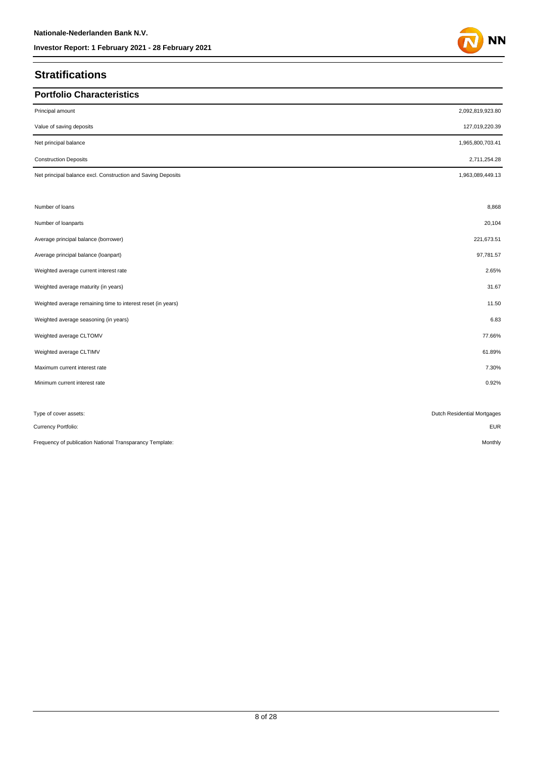## **Stratifications**

| <b>Portfolio Characteristics</b>                             |                             |
|--------------------------------------------------------------|-----------------------------|
| Principal amount                                             | 2,092,819,923.80            |
| Value of saving deposits                                     | 127,019,220.39              |
| Net principal balance                                        | 1,965,800,703.41            |
| <b>Construction Deposits</b>                                 | 2,711,254.28                |
| Net principal balance excl. Construction and Saving Deposits | 1,963,089,449.13            |
|                                                              |                             |
| Number of loans                                              | 8,868                       |
| Number of loanparts                                          | 20,104                      |
| Average principal balance (borrower)                         | 221,673.51                  |
| Average principal balance (loanpart)                         | 97,781.57                   |
| Weighted average current interest rate                       | 2.65%                       |
| Weighted average maturity (in years)                         | 31.67                       |
| Weighted average remaining time to interest reset (in years) | 11.50                       |
| Weighted average seasoning (in years)                        | 6.83                        |
| Weighted average CLTOMV                                      | 77.66%                      |
| Weighted average CLTIMV                                      | 61.89%                      |
| Maximum current interest rate                                | 7.30%                       |
| Minimum current interest rate                                | 0.92%                       |
|                                                              |                             |
| Type of cover assets:                                        | Dutch Residential Mortgages |
| Currency Portfolio:                                          | <b>EUR</b>                  |
| Frequency of publication National Transparancy Template:     | Monthly                     |

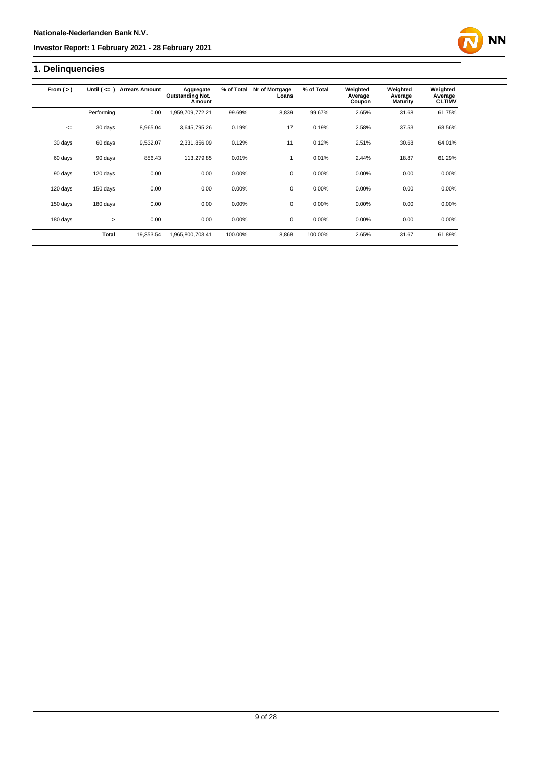## **1. Delinquencies**

| From $(>)$ | Until $($ $\leq$ $=$ $)$ | <b>Arrears Amount</b> | Aggregate<br><b>Outstanding Not.</b><br>Amount | % of Total | Nr of Mortgage<br>Loans | % of Total | Weighted<br>Average<br>Coupon | Weighted<br>Average<br><b>Maturity</b> | Weighted<br>Average<br><b>CLTIMV</b> |
|------------|--------------------------|-----------------------|------------------------------------------------|------------|-------------------------|------------|-------------------------------|----------------------------------------|--------------------------------------|
|            | Performing               | 0.00                  | 1,959,709,772.21                               | 99.69%     | 8,839                   | 99.67%     | 2.65%                         | 31.68                                  | 61.75%                               |
| $\leq$     | 30 days                  | 8,965.04              | 3,645,795.26                                   | 0.19%      | 17                      | 0.19%      | 2.58%                         | 37.53                                  | 68.56%                               |
| 30 days    | 60 days                  | 9,532.07              | 2,331,856.09                                   | 0.12%      | 11                      | 0.12%      | 2.51%                         | 30.68                                  | 64.01%                               |
| 60 days    | 90 days                  | 856.43                | 113,279.85                                     | 0.01%      |                         | 0.01%      | 2.44%                         | 18.87                                  | 61.29%                               |
| 90 days    | 120 days                 | 0.00                  | 0.00                                           | 0.00%      | 0                       | 0.00%      | 0.00%                         | 0.00                                   | 0.00%                                |
| 120 days   | 150 days                 | 0.00                  | 0.00                                           | 0.00%      | 0                       | 0.00%      | 0.00%                         | 0.00                                   | 0.00%                                |
| 150 days   | 180 days                 | 0.00                  | 0.00                                           | 0.00%      | 0                       | 0.00%      | 0.00%                         | 0.00                                   | 0.00%                                |
| 180 days   | $\geq$                   | 0.00                  | 0.00                                           | 0.00%      | 0                       | 0.00%      | 0.00%                         | 0.00                                   | 0.00%                                |
|            | <b>Total</b>             | 19,353.54             | 1,965,800,703.41                               | 100.00%    | 8,868                   | 100.00%    | 2.65%                         | 31.67                                  | 61.89%                               |

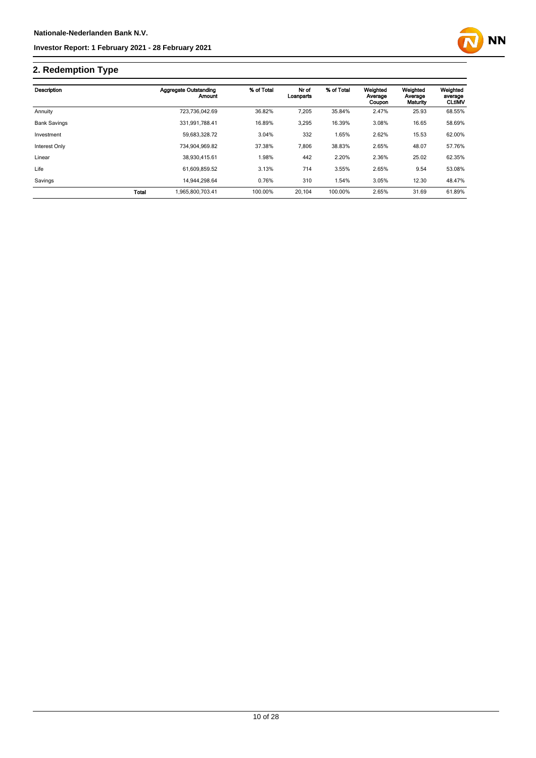

## **2. Redemption Type**

| Description         |       | Aggregate Outstanding<br>Amount | % of Total | Nr of<br>Loanparts | % of Total | Weighted<br>Average<br>Coupon | Weighted<br>Average<br>Maturity | Weighted<br>average<br><b>CLtIMV</b> |
|---------------------|-------|---------------------------------|------------|--------------------|------------|-------------------------------|---------------------------------|--------------------------------------|
| Annuity             |       | 723.736.042.69                  | 36.82%     | 7,205              | 35.84%     | 2.47%                         | 25.93                           | 68.55%                               |
| <b>Bank Savings</b> |       | 331.991.788.41                  | 16.89%     | 3,295              | 16.39%     | 3.08%                         | 16.65                           | 58.69%                               |
| Investment          |       | 59.683.328.72                   | 3.04%      | 332                | 1.65%      | 2.62%                         | 15.53                           | 62.00%                               |
| Interest Only       |       | 734.904.969.82                  | 37.38%     | 7,806              | 38.83%     | 2.65%                         | 48.07                           | 57.76%                               |
| Linear              |       | 38.930.415.61                   | 1.98%      | 442                | 2.20%      | 2.36%                         | 25.02                           | 62.35%                               |
| Life                |       | 61.609.859.52                   | 3.13%      | 714                | 3.55%      | 2.65%                         | 9.54                            | 53.08%                               |
| Savings             |       | 14.944.298.64                   | 0.76%      | 310                | 1.54%      | 3.05%                         | 12.30                           | 48.47%                               |
|                     | Total | 1.965.800.703.41                | 100.00%    | 20.104             | 100.00%    | 2.65%                         | 31.69                           | 61.89%                               |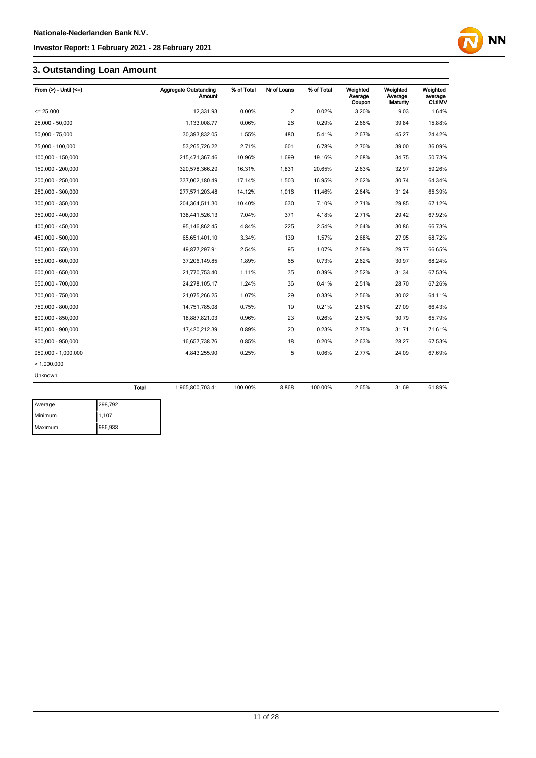## **3. Outstanding Loan Amount**

| From $(>) -$ Until $(<=)$ |              | <b>Aggregate Outstanding</b><br><b>Amount</b> | % of Total | Nr of Loans    | % of Total | Weighted<br>Average<br>Coupon | Weighted<br>Average<br>Maturity | Weighted<br>average<br><b>CLtIMV</b> |
|---------------------------|--------------|-----------------------------------------------|------------|----------------|------------|-------------------------------|---------------------------------|--------------------------------------|
| $= 25.000$                |              | 12,331.93                                     | 0.00%      | $\overline{2}$ | 0.02%      | 3.20%                         | 9.03                            | 1.64%                                |
| 25,000 - 50,000           |              | 1,133,008.77                                  | 0.06%      | 26             | 0.29%      | 2.66%                         | 39.84                           | 15.88%                               |
| 50,000 - 75,000           |              | 30,393,832.05                                 | 1.55%      | 480            | 5.41%      | 2.67%                         | 45.27                           | 24.42%                               |
| 75,000 - 100,000          |              | 53,265,726.22                                 | 2.71%      | 601            | 6.78%      | 2.70%                         | 39.00                           | 36.09%                               |
| 100,000 - 150,000         |              | 215,471,367.46                                | 10.96%     | 1,699          | 19.16%     | 2.68%                         | 34.75                           | 50.73%                               |
| 150,000 - 200,000         |              | 320,578,366.29                                | 16.31%     | 1,831          | 20.65%     | 2.63%                         | 32.97                           | 59.26%                               |
| 200,000 - 250,000         |              | 337,002,180.49                                | 17.14%     | 1,503          | 16.95%     | 2.62%                         | 30.74                           | 64.34%                               |
| 250,000 - 300,000         |              | 277,571,203.48                                | 14.12%     | 1,016          | 11.46%     | 2.64%                         | 31.24                           | 65.39%                               |
| 300,000 - 350,000         |              | 204,364,511.30                                | 10.40%     | 630            | 7.10%      | 2.71%                         | 29.85                           | 67.12%                               |
| 350,000 - 400,000         |              | 138,441,526.13                                | 7.04%      | 371            | 4.18%      | 2.71%                         | 29.42                           | 67.92%                               |
| 400,000 - 450,000         |              | 95, 146, 862. 45                              | 4.84%      | 225            | 2.54%      | 2.64%                         | 30.86                           | 66.73%                               |
| 450,000 - 500,000         |              | 65,651,401.10                                 | 3.34%      | 139            | 1.57%      | 2.68%                         | 27.95                           | 68.72%                               |
| 500,000 - 550,000         |              | 49,877,297.91                                 | 2.54%      | 95             | 1.07%      | 2.59%                         | 29.77                           | 66.65%                               |
| 550,000 - 600,000         |              | 37,206,149.85                                 | 1.89%      | 65             | 0.73%      | 2.62%                         | 30.97                           | 68.24%                               |
| 600,000 - 650,000         |              | 21,770,753.40                                 | 1.11%      | 35             | 0.39%      | 2.52%                         | 31.34                           | 67.53%                               |
| 650,000 - 700,000         |              | 24,278,105.17                                 | 1.24%      | 36             | 0.41%      | 2.51%                         | 28.70                           | 67.26%                               |
| 700,000 - 750,000         |              | 21,075,266.25                                 | 1.07%      | 29             | 0.33%      | 2.56%                         | 30.02                           | 64.11%                               |
| 750,000 - 800,000         |              | 14,751,785.08                                 | 0.75%      | 19             | 0.21%      | 2.61%                         | 27.09                           | 66.43%                               |
| 800,000 - 850,000         |              | 18,887,821.03                                 | 0.96%      | 23             | 0.26%      | 2.57%                         | 30.79                           | 65.79%                               |
| 850,000 - 900,000         |              | 17,420,212.39                                 | 0.89%      | 20             | 0.23%      | 2.75%                         | 31.71                           | 71.61%                               |
| 900,000 - 950,000         |              | 16,657,738.76                                 | 0.85%      | 18             | 0.20%      | 2.63%                         | 28.27                           | 67.53%                               |
| 950,000 - 1,000,000       |              | 4,843,255.90                                  | 0.25%      | 5              | 0.06%      | 2.77%                         | 24.09                           | 67.69%                               |
| >1.000.000                |              |                                               |            |                |            |                               |                                 |                                      |
| Unknown                   |              |                                               |            |                |            |                               |                                 |                                      |
|                           | <b>Total</b> | 1,965,800,703.41                              | 100.00%    | 8,868          | 100.00%    | 2.65%                         | 31.69                           | 61.89%                               |
| Average                   | 298,792      |                                               |            |                |            |                               |                                 |                                      |

| Average | 298,792 |
|---------|---------|
| Minimum | 1,107   |
| Maximum | 986,933 |

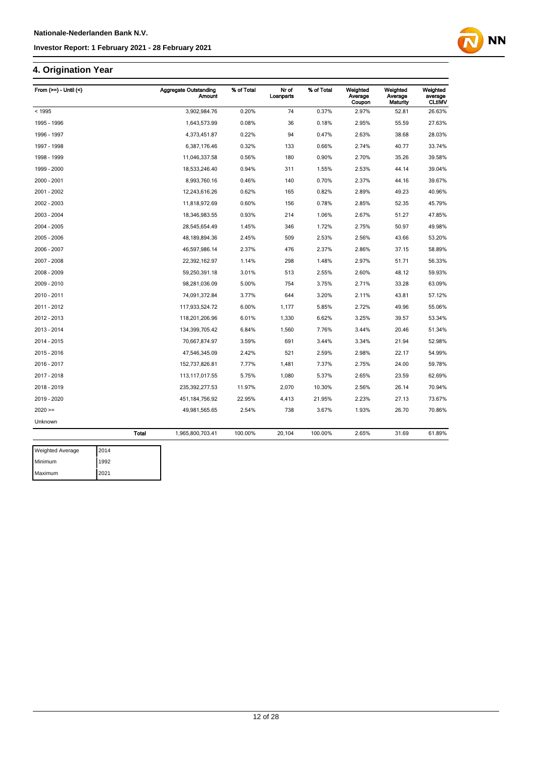## **4. Origination Year**

| From $(>=)$ - Until $($ |              | <b>Aggregate Outstanding</b><br>Amount | % of Total | Nr of<br>Loanparts | % of Total | Weighted<br>Average<br>Coupon | Weighted<br>Average<br>Maturity | Weighted<br>average<br><b>CLtIMV</b> |
|-------------------------|--------------|----------------------------------------|------------|--------------------|------------|-------------------------------|---------------------------------|--------------------------------------|
| < 1995                  |              | 3,902,984.76                           | 0.20%      | 74                 | 0.37%      | 2.97%                         | 52.81                           | 26.63%                               |
| 1995 - 1996             |              | 1,643,573.99                           | 0.08%      | 36                 | 0.18%      | 2.95%                         | 55.59                           | 27.63%                               |
| 1996 - 1997             |              | 4,373,451.87                           | 0.22%      | 94                 | 0.47%      | 2.63%                         | 38.68                           | 28.03%                               |
| 1997 - 1998             |              | 6,387,176.46                           | 0.32%      | 133                | 0.66%      | 2.74%                         | 40.77                           | 33.74%                               |
| 1998 - 1999             |              | 11,046,337.58                          | 0.56%      | 180                | 0.90%      | 2.70%                         | 35.26                           | 39.58%                               |
| 1999 - 2000             |              | 18,533,246.40                          | 0.94%      | 311                | 1.55%      | 2.53%                         | 44.14                           | 39.04%                               |
| 2000 - 2001             |              | 8,993,760.16                           | 0.46%      | 140                | 0.70%      | 2.37%                         | 44.16                           | 39.67%                               |
| 2001 - 2002             |              | 12,243,616.26                          | 0.62%      | 165                | 0.82%      | 2.89%                         | 49.23                           | 40.96%                               |
| 2002 - 2003             |              | 11,818,972.69                          | 0.60%      | 156                | 0.78%      | 2.85%                         | 52.35                           | 45.79%                               |
| 2003 - 2004             |              | 18,346,983.55                          | 0.93%      | 214                | 1.06%      | 2.67%                         | 51.27                           | 47.85%                               |
| 2004 - 2005             |              | 28,545,654.49                          | 1.45%      | 346                | 1.72%      | 2.75%                         | 50.97                           | 49.98%                               |
| 2005 - 2006             |              | 48, 189, 894. 36                       | 2.45%      | 509                | 2.53%      | 2.56%                         | 43.66                           | 53.20%                               |
| 2006 - 2007             |              | 46,597,986.14                          | 2.37%      | 476                | 2.37%      | 2.86%                         | 37.15                           | 58.89%                               |
| 2007 - 2008             |              | 22,392,162.97                          | 1.14%      | 298                | 1.48%      | 2.97%                         | 51.71                           | 56.33%                               |
| 2008 - 2009             |              | 59,250,391.18                          | 3.01%      | 513                | 2.55%      | 2.60%                         | 48.12                           | 59.93%                               |
| 2009 - 2010             |              | 98,281,036.09                          | 5.00%      | 754                | 3.75%      | 2.71%                         | 33.28                           | 63.09%                               |
| 2010 - 2011             |              | 74,091,372.84                          | 3.77%      | 644                | 3.20%      | 2.11%                         | 43.81                           | 57.12%                               |
| 2011 - 2012             |              | 117,933,524.72                         | 6.00%      | 1,177              | 5.85%      | 2.72%                         | 49.96                           | 55.06%                               |
| 2012 - 2013             |              | 118,201,206.96                         | 6.01%      | 1,330              | 6.62%      | 3.25%                         | 39.57                           | 53.34%                               |
| 2013 - 2014             |              | 134,399,705.42                         | 6.84%      | 1,560              | 7.76%      | 3.44%                         | 20.46                           | 51.34%                               |
| 2014 - 2015             |              | 70,667,874.97                          | 3.59%      | 691                | 3.44%      | 3.34%                         | 21.94                           | 52.98%                               |
| 2015 - 2016             |              | 47,546,345.09                          | 2.42%      | 521                | 2.59%      | 2.98%                         | 22.17                           | 54.99%                               |
| 2016 - 2017             |              | 152,737,826.81                         | 7.77%      | 1,481              | 7.37%      | 2.75%                         | 24.00                           | 59.78%                               |
| 2017 - 2018             |              | 113, 117, 017.55                       | 5.75%      | 1,080              | 5.37%      | 2.65%                         | 23.59                           | 62.69%                               |
| 2018 - 2019             |              | 235, 392, 277.53                       | 11.97%     | 2,070              | 10.30%     | 2.56%                         | 26.14                           | 70.94%                               |
| 2019 - 2020             |              | 451, 184, 756. 92                      | 22.95%     | 4,413              | 21.95%     | 2.23%                         | 27.13                           | 73.67%                               |
| $2020 =$                |              | 49,981,565.65                          | 2.54%      | 738                | 3.67%      | 1.93%                         | 26.70                           | 70.86%                               |
| Unknown                 |              |                                        |            |                    |            |                               |                                 |                                      |
|                         | <b>Total</b> | 1,965,800,703.41                       | 100.00%    | 20,104             | 100.00%    | 2.65%                         | 31.69                           | 61.89%                               |

**NN** 

| <b>Weighted Average</b> | 2014 |
|-------------------------|------|
| Minimum                 | 1992 |
| Maximum                 | 2021 |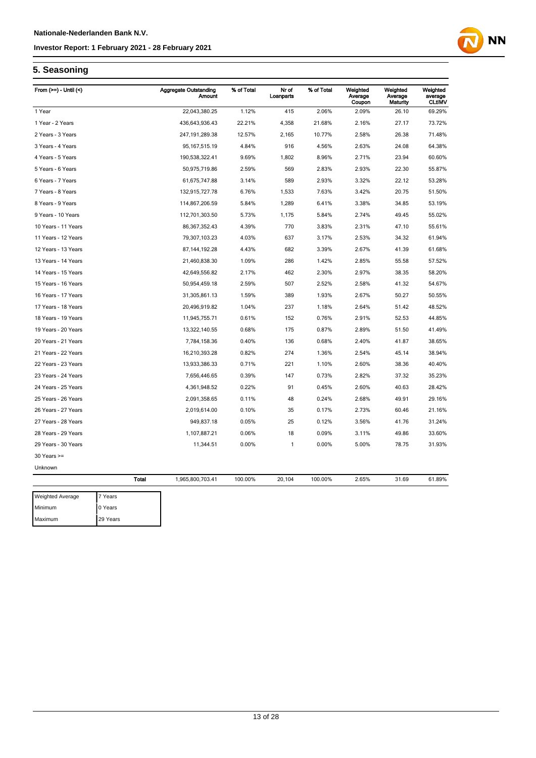

### **5. Seasoning**

Maximum 29 Years

| From $(>=)$ - Until $($ |              | <b>Aggregate Outstanding</b><br><b>Amount</b> | % of Total | Nr of<br>Loanparts | % of Total | Weighted<br>Average | Weighted<br>Average | Weighted<br>average |
|-------------------------|--------------|-----------------------------------------------|------------|--------------------|------------|---------------------|---------------------|---------------------|
|                         |              |                                               |            |                    |            | Coupon              | Maturity            | <b>CLtIMV</b>       |
| 1 Year                  |              | 22,043,380.25                                 | 1.12%      | 415                | 2.06%      | 2.09%               | 26.10               | 69.29%              |
| 1 Year - 2 Years        |              | 436,643,936.43                                | 22.21%     | 4,358              | 21.68%     | 2.16%               | 27.17               | 73.72%              |
| 2 Years - 3 Years       |              | 247, 191, 289. 38                             | 12.57%     | 2,165              | 10.77%     | 2.58%               | 26.38               | 71.48%              |
| 3 Years - 4 Years       |              | 95, 167, 515. 19                              | 4.84%      | 916                | 4.56%      | 2.63%               | 24.08               | 64.38%              |
| 4 Years - 5 Years       |              | 190,538,322.41                                | 9.69%      | 1,802              | 8.96%      | 2.71%               | 23.94               | 60.60%              |
| 5 Years - 6 Years       |              | 50,975,719.86                                 | 2.59%      | 569                | 2.83%      | 2.93%               | 22.30               | 55.87%              |
| 6 Years - 7 Years       |              | 61,675,747.88                                 | 3.14%      | 589                | 2.93%      | 3.32%               | 22.12               | 53.28%              |
| 7 Years - 8 Years       |              | 132,915,727.78                                | 6.76%      | 1,533              | 7.63%      | 3.42%               | 20.75               | 51.50%              |
| 8 Years - 9 Years       |              | 114,867,206.59                                | 5.84%      | 1,289              | 6.41%      | 3.38%               | 34.85               | 53.19%              |
| 9 Years - 10 Years      |              | 112,701,303.50                                | 5.73%      | 1,175              | 5.84%      | 2.74%               | 49.45               | 55.02%              |
| 10 Years - 11 Years     |              | 86, 367, 352. 43                              | 4.39%      | 770                | 3.83%      | 2.31%               | 47.10               | 55.61%              |
| 11 Years - 12 Years     |              | 79,307,103.23                                 | 4.03%      | 637                | 3.17%      | 2.53%               | 34.32               | 61.94%              |
| 12 Years - 13 Years     |              | 87, 144, 192. 28                              | 4.43%      | 682                | 3.39%      | 2.67%               | 41.39               | 61.68%              |
| 13 Years - 14 Years     |              | 21,460,838.30                                 | 1.09%      | 286                | 1.42%      | 2.85%               | 55.58               | 57.52%              |
| 14 Years - 15 Years     |              | 42,649,556.82                                 | 2.17%      | 462                | 2.30%      | 2.97%               | 38.35               | 58.20%              |
| 15 Years - 16 Years     |              | 50,954,459.18                                 | 2.59%      | 507                | 2.52%      | 2.58%               | 41.32               | 54.67%              |
| 16 Years - 17 Years     |              | 31,305,861.13                                 | 1.59%      | 389                | 1.93%      | 2.67%               | 50.27               | 50.55%              |
| 17 Years - 18 Years     |              | 20,496,919.82                                 | 1.04%      | 237                | 1.18%      | 2.64%               | 51.42               | 48.52%              |
| 18 Years - 19 Years     |              | 11,945,755.71                                 | 0.61%      | 152                | 0.76%      | 2.91%               | 52.53               | 44.85%              |
| 19 Years - 20 Years     |              | 13,322,140.55                                 | 0.68%      | 175                | 0.87%      | 2.89%               | 51.50               | 41.49%              |
| 20 Years - 21 Years     |              | 7,784,158.36                                  | 0.40%      | 136                | 0.68%      | 2.40%               | 41.87               | 38.65%              |
| 21 Years - 22 Years     |              | 16,210,393.28                                 | 0.82%      | 274                | 1.36%      | 2.54%               | 45.14               | 38.94%              |
| 22 Years - 23 Years     |              | 13,933,386.33                                 | 0.71%      | 221                | 1.10%      | 2.60%               | 38.36               | 40.40%              |
| 23 Years - 24 Years     |              | 7,656,446.65                                  | 0.39%      | 147                | 0.73%      | 2.82%               | 37.32               | 35.23%              |
| 24 Years - 25 Years     |              | 4,361,948.52                                  | 0.22%      | 91                 | 0.45%      | 2.60%               | 40.63               | 28.42%              |
| 25 Years - 26 Years     |              | 2,091,358.65                                  | 0.11%      | 48                 | 0.24%      | 2.68%               | 49.91               | 29.16%              |
| 26 Years - 27 Years     |              | 2,019,614.00                                  | 0.10%      | 35                 | 0.17%      | 2.73%               | 60.46               | 21.16%              |
| 27 Years - 28 Years     |              | 949,837.18                                    | 0.05%      | 25                 | 0.12%      | 3.56%               | 41.76               | 31.24%              |
| 28 Years - 29 Years     |              | 1,107,887.21                                  | 0.06%      | 18                 | 0.09%      | 3.11%               | 49.86               | 33.60%              |
| 29 Years - 30 Years     |              | 11,344.51                                     | 0.00%      | 1                  | 0.00%      | 5.00%               | 78.75               | 31.93%              |
| $30$ Years $>=$         |              |                                               |            |                    |            |                     |                     |                     |
| Unknown                 |              |                                               |            |                    |            |                     |                     |                     |
|                         | <b>Total</b> | 1,965,800,703.41                              | 100.00%    | 20,104             | 100.00%    | 2.65%               | 31.69               | 61.89%              |
|                         |              |                                               |            |                    |            |                     |                     |                     |
| <b>Weighted Average</b> | 7 Years      |                                               |            |                    |            |                     |                     |                     |
| Minimum                 | 0 Years      |                                               |            |                    |            |                     |                     |                     |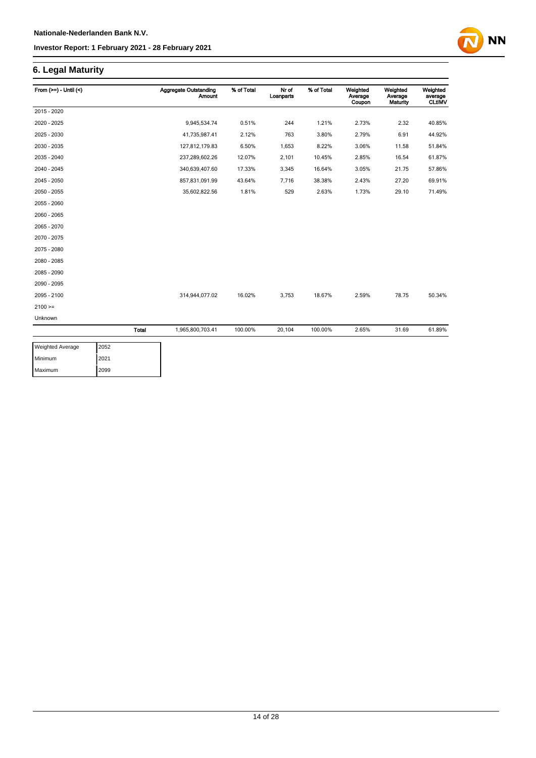# **NN**

## **6. Legal Maturity**

| From $(>=) -$ Until $($ |       | <b>Aggregate Outstanding</b><br><b>Amount</b> | % of Total | Nr of<br>Loanparts | % of Total | Weighted<br>Average<br>Coupon | Weighted<br>Average<br><b>Maturity</b> | Weighted<br>average<br><b>CLtIMV</b> |
|-------------------------|-------|-----------------------------------------------|------------|--------------------|------------|-------------------------------|----------------------------------------|--------------------------------------|
| 2015 - 2020             |       |                                               |            |                    |            |                               |                                        |                                      |
| 2020 - 2025             |       | 9,945,534.74                                  | 0.51%      | 244                | 1.21%      | 2.73%                         | 2.32                                   | 40.85%                               |
| 2025 - 2030             |       | 41,735,987.41                                 | 2.12%      | 763                | 3.80%      | 2.79%                         | 6.91                                   | 44.92%                               |
| 2030 - 2035             |       | 127,812,179.83                                | 6.50%      | 1,653              | 8.22%      | 3.06%                         | 11.58                                  | 51.84%                               |
| 2035 - 2040             |       | 237,289,602.26                                | 12.07%     | 2,101              | 10.45%     | 2.85%                         | 16.54                                  | 61.87%                               |
| 2040 - 2045             |       | 340,639,407.60                                | 17.33%     | 3,345              | 16.64%     | 3.05%                         | 21.75                                  | 57.86%                               |
| 2045 - 2050             |       | 857,831,091.99                                | 43.64%     | 7,716              | 38.38%     | 2.43%                         | 27.20                                  | 69.91%                               |
| 2050 - 2055             |       | 35,602,822.56                                 | 1.81%      | 529                | 2.63%      | 1.73%                         | 29.10                                  | 71.49%                               |
| 2055 - 2060             |       |                                               |            |                    |            |                               |                                        |                                      |
| 2060 - 2065             |       |                                               |            |                    |            |                               |                                        |                                      |
| 2065 - 2070             |       |                                               |            |                    |            |                               |                                        |                                      |
| 2070 - 2075             |       |                                               |            |                    |            |                               |                                        |                                      |
| 2075 - 2080             |       |                                               |            |                    |            |                               |                                        |                                      |
| 2080 - 2085             |       |                                               |            |                    |            |                               |                                        |                                      |
| 2085 - 2090             |       |                                               |            |                    |            |                               |                                        |                                      |
| 2090 - 2095             |       |                                               |            |                    |            |                               |                                        |                                      |
| 2095 - 2100             |       | 314,944,077.02                                | 16.02%     | 3,753              | 18.67%     | 2.59%                         | 78.75                                  | 50.34%                               |
| $2100 =$                |       |                                               |            |                    |            |                               |                                        |                                      |
| Unknown                 |       |                                               |            |                    |            |                               |                                        |                                      |
|                         | Total | 1,965,800,703.41                              | 100.00%    | 20,104             | 100.00%    | 2.65%                         | 31.69                                  | 61.89%                               |

| <b>Weighted Average</b> | 2052 |
|-------------------------|------|
| Minimum                 | 2021 |
| Maximum                 | 2099 |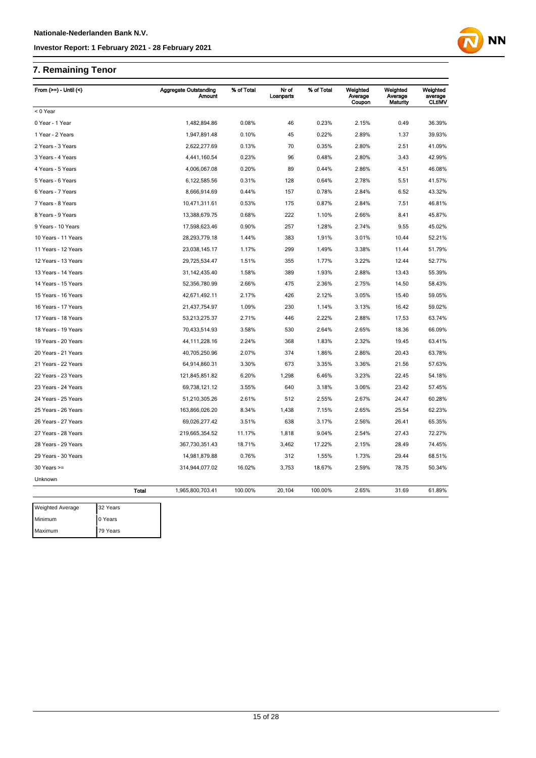## **7. Remaining Tenor**

Maximum 79 Years

| From (>=) - Until (<)   |              | <b>Aggregate Outstanding</b><br><b>Amount</b> | % of Total | Nr of<br>Loanparts | % of Total | Weighted<br>Average<br>Coupon | Weighted<br>Average<br>Maturity | Weighted<br>average<br><b>CLtIMV</b> |
|-------------------------|--------------|-----------------------------------------------|------------|--------------------|------------|-------------------------------|---------------------------------|--------------------------------------|
| < 0 Year                |              |                                               |            |                    |            |                               |                                 |                                      |
| 0 Year - 1 Year         |              | 1,482,894.86                                  | 0.08%      | 46                 | 0.23%      | 2.15%                         | 0.49                            | 36.39%                               |
| 1 Year - 2 Years        |              | 1,947,891.48                                  | 0.10%      | 45                 | 0.22%      | 2.89%                         | 1.37                            | 39.93%                               |
| 2 Years - 3 Years       |              | 2,622,277.69                                  | 0.13%      | 70                 | 0.35%      | 2.80%                         | 2.51                            | 41.09%                               |
| 3 Years - 4 Years       |              | 4,441,160.54                                  | 0.23%      | 96                 | 0.48%      | 2.80%                         | 3.43                            | 42.99%                               |
| 4 Years - 5 Years       |              | 4,006,067.08                                  | 0.20%      | 89                 | 0.44%      | 2.86%                         | 4.51                            | 46.08%                               |
| 5 Years - 6 Years       |              | 6,122,585.56                                  | 0.31%      | 128                | 0.64%      | 2.78%                         | 5.51                            | 41.57%                               |
| 6 Years - 7 Years       |              | 8,666,914.69                                  | 0.44%      | 157                | 0.78%      | 2.84%                         | 6.52                            | 43.32%                               |
| 7 Years - 8 Years       |              | 10,471,311.61                                 | 0.53%      | 175                | 0.87%      | 2.84%                         | 7.51                            | 46.81%                               |
| 8 Years - 9 Years       |              | 13,388,679.75                                 | 0.68%      | 222                | 1.10%      | 2.66%                         | 8.41                            | 45.87%                               |
| 9 Years - 10 Years      |              | 17,598,623.46                                 | 0.90%      | 257                | 1.28%      | 2.74%                         | 9.55                            | 45.02%                               |
| 10 Years - 11 Years     |              | 28,293,779.18                                 | 1.44%      | 383                | 1.91%      | 3.01%                         | 10.44                           | 52.21%                               |
| 11 Years - 12 Years     |              | 23,038,145.17                                 | 1.17%      | 299                | 1.49%      | 3.38%                         | 11.44                           | 51.79%                               |
| 12 Years - 13 Years     |              | 29,725,534.47                                 | 1.51%      | 355                | 1.77%      | 3.22%                         | 12.44                           | 52.77%                               |
| 13 Years - 14 Years     |              | 31, 142, 435. 40                              | 1.58%      | 389                | 1.93%      | 2.88%                         | 13.43                           | 55.39%                               |
| 14 Years - 15 Years     |              | 52,356,780.99                                 | 2.66%      | 475                | 2.36%      | 2.75%                         | 14.50                           | 58.43%                               |
| 15 Years - 16 Years     |              | 42,671,492.11                                 | 2.17%      | 426                | 2.12%      | 3.05%                         | 15.40                           | 59.05%                               |
| 16 Years - 17 Years     |              | 21,437,754.97                                 | 1.09%      | 230                | 1.14%      | 3.13%                         | 16.42                           | 59.02%                               |
| 17 Years - 18 Years     |              | 53,213,275.37                                 | 2.71%      | 446                | 2.22%      | 2.88%                         | 17.53                           | 63.74%                               |
| 18 Years - 19 Years     |              | 70,433,514.93                                 | 3.58%      | 530                | 2.64%      | 2.65%                         | 18.36                           | 66.09%                               |
| 19 Years - 20 Years     |              | 44, 111, 228. 16                              | 2.24%      | 368                | 1.83%      | 2.32%                         | 19.45                           | 63.41%                               |
| 20 Years - 21 Years     |              | 40,705,250.96                                 | 2.07%      | 374                | 1.86%      | 2.86%                         | 20.43                           | 63.78%                               |
| 21 Years - 22 Years     |              | 64,914,860.31                                 | 3.30%      | 673                | 3.35%      | 3.36%                         | 21.56                           | 57.63%                               |
| 22 Years - 23 Years     |              | 121,845,851.82                                | 6.20%      | 1,298              | 6.46%      | 3.23%                         | 22.45                           | 54.18%                               |
| 23 Years - 24 Years     |              | 69,738,121.12                                 | 3.55%      | 640                | 3.18%      | 3.06%                         | 23.42                           | 57.45%                               |
| 24 Years - 25 Years     |              | 51,210,305.26                                 | 2.61%      | 512                | 2.55%      | 2.67%                         | 24.47                           | 60.28%                               |
| 25 Years - 26 Years     |              | 163,866,026.20                                | 8.34%      | 1,438              | 7.15%      | 2.65%                         | 25.54                           | 62.23%                               |
| 26 Years - 27 Years     |              | 69,026,277.42                                 | 3.51%      | 638                | 3.17%      | 2.56%                         | 26.41                           | 65.35%                               |
| 27 Years - 28 Years     |              | 219,665,354.52                                | 11.17%     | 1,818              | 9.04%      | 2.54%                         | 27.43                           | 72.27%                               |
| 28 Years - 29 Years     |              | 367,730,351.43                                | 18.71%     | 3,462              | 17.22%     | 2.15%                         | 28.49                           | 74.45%                               |
| 29 Years - 30 Years     |              | 14,981,879.88                                 | 0.76%      | 312                | 1.55%      | 1.73%                         | 29.44                           | 68.51%                               |
| $30$ Years $>=$         |              | 314,944,077.02                                | 16.02%     | 3,753              | 18.67%     | 2.59%                         | 78.75                           | 50.34%                               |
| Unknown                 |              |                                               |            |                    |            |                               |                                 |                                      |
|                         | <b>Total</b> | 1,965,800,703.41                              | 100.00%    | 20,104             | 100.00%    | 2.65%                         | 31.69                           | 61.89%                               |
| <b>Weighted Average</b> | 32 Years     |                                               |            |                    |            |                               |                                 |                                      |
| Minimum                 | 0 Years      |                                               |            |                    |            |                               |                                 |                                      |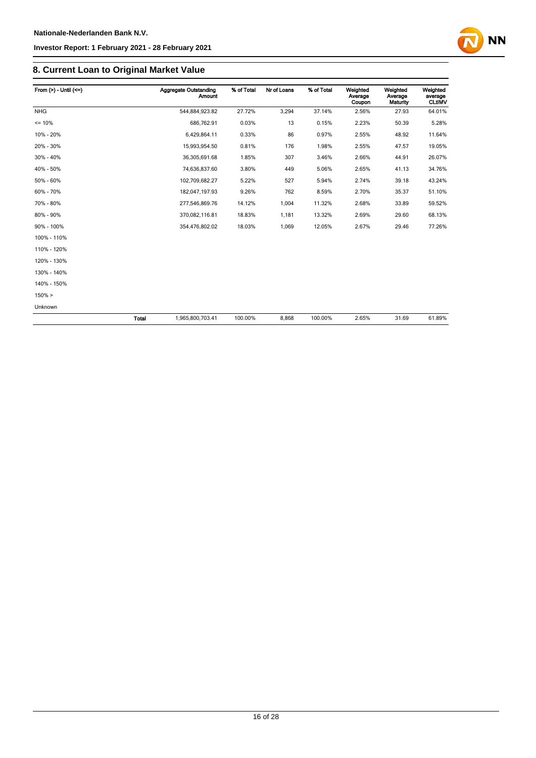

## **8. Current Loan to Original Market Value**

| From $(>) -$ Until $(<=)$ |       | <b>Aggregate Outstanding</b><br>Amount | % of Total | Nr of Loans | % of Total | Weighted<br>Average<br>Coupon | Weighted<br>Average<br><b>Maturity</b> | Weighted<br>average<br><b>CLtIMV</b> |
|---------------------------|-------|----------------------------------------|------------|-------------|------------|-------------------------------|----------------------------------------|--------------------------------------|
| <b>NHG</b>                |       | 544,884,923.82                         | 27.72%     | 3,294       | 37.14%     | 2.56%                         | 27.93                                  | 64.01%                               |
| $= 10%$                   |       | 686,762.91                             | 0.03%      | 13          | 0.15%      | 2.23%                         | 50.39                                  | 5.28%                                |
| 10% - 20%                 |       | 6,429,864.11                           | 0.33%      | 86          | 0.97%      | 2.55%                         | 48.92                                  | 11.64%                               |
| 20% - 30%                 |       | 15,993,954.50                          | 0.81%      | 176         | 1.98%      | 2.55%                         | 47.57                                  | 19.05%                               |
| 30% - 40%                 |       | 36,305,691.68                          | 1.85%      | 307         | 3.46%      | 2.66%                         | 44.91                                  | 26.07%                               |
| 40% - 50%                 |       | 74,636,837.60                          | 3.80%      | 449         | 5.06%      | 2.65%                         | 41.13                                  | 34.76%                               |
| 50% - 60%                 |       | 102,709,682.27                         | 5.22%      | 527         | 5.94%      | 2.74%                         | 39.18                                  | 43.24%                               |
| 60% - 70%                 |       | 182,047,197.93                         | 9.26%      | 762         | 8.59%      | 2.70%                         | 35.37                                  | 51.10%                               |
| 70% - 80%                 |       | 277,546,869.76                         | 14.12%     | 1,004       | 11.32%     | 2.68%                         | 33.89                                  | 59.52%                               |
| 80% - 90%                 |       | 370,082,116.81                         | 18.83%     | 1,181       | 13.32%     | 2.69%                         | 29.60                                  | 68.13%                               |
| 90% - 100%                |       | 354,476,802.02                         | 18.03%     | 1,069       | 12.05%     | 2.67%                         | 29.46                                  | 77.26%                               |
| 100% - 110%               |       |                                        |            |             |            |                               |                                        |                                      |
| 110% - 120%               |       |                                        |            |             |            |                               |                                        |                                      |
| 120% - 130%               |       |                                        |            |             |            |                               |                                        |                                      |
| 130% - 140%               |       |                                        |            |             |            |                               |                                        |                                      |
| 140% - 150%               |       |                                        |            |             |            |                               |                                        |                                      |
| $150\% >$                 |       |                                        |            |             |            |                               |                                        |                                      |
| Unknown                   |       |                                        |            |             |            |                               |                                        |                                      |
|                           | Total | 1,965,800,703.41                       | 100.00%    | 8,868       | 100.00%    | 2.65%                         | 31.69                                  | 61.89%                               |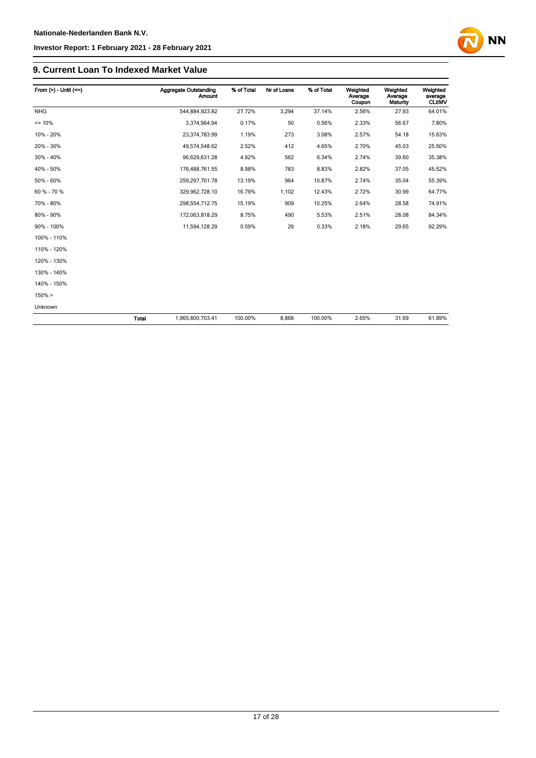

#### **9. Current Loan To Indexed Market Value**

| From $(>)$ - Until $(<=)$ |              | <b>Aggregate Outstanding</b><br><b>Amount</b> | % of Total | Nr of Loans | % of Total | Weighted<br>Average<br>Coupon | Weighted<br>Average<br><b>Maturity</b> | Weighted<br>average<br><b>CLtIMV</b> |
|---------------------------|--------------|-----------------------------------------------|------------|-------------|------------|-------------------------------|----------------------------------------|--------------------------------------|
| <b>NHG</b>                |              | 544,884,923.82                                | 27.72%     | 3,294       | 37.14%     | 2.56%                         | 27.93                                  | 64.01%                               |
| $= 10%$                   |              | 3,374,964.94                                  | 0.17%      | 50          | 0.56%      | 2.33%                         | 56.67                                  | 7.80%                                |
| 10% - 20%                 |              | 23,374,783.99                                 | 1.19%      | 273         | 3.08%      | 2.57%                         | 54.18                                  | 15.63%                               |
| 20% - 30%                 |              | 49,574,548.62                                 | 2.52%      | 412         | 4.65%      | 2.70%                         | 45.03                                  | 25.50%                               |
| 30% - 40%                 |              | 96,629,631.28                                 | 4.92%      | 562         | 6.34%      | 2.74%                         | 39.60                                  | 35.38%                               |
| 40% - 50%                 |              | 176,488,761.55                                | 8.98%      | 783         | 8.83%      | 2.82%                         | 37.05                                  | 45.52%                               |
| 50% - 60%                 |              | 259,297,701.78                                | 13.19%     | 964         | 10.87%     | 2.74%                         | 35.04                                  | 55.39%                               |
| 60 % - 70 %               |              | 329,962,728.10                                | 16.79%     | 1,102       | 12.43%     | 2.72%                         | 30.99                                  | 64.77%                               |
| 70% - 80%                 |              | 298,554,712.75                                | 15.19%     | 909         | 10.25%     | 2.64%                         | 28.58                                  | 74.91%                               |
| 80% - 90%                 |              | 172,063,818.29                                | 8.75%      | 490         | 5.53%      | 2.51%                         | 28.08                                  | 84.34%                               |
| 90% - 100%                |              | 11,594,128.29                                 | 0.59%      | 29          | 0.33%      | 2.18%                         | 29.65                                  | 92.29%                               |
| 100% - 110%               |              |                                               |            |             |            |                               |                                        |                                      |
| 110% - 120%               |              |                                               |            |             |            |                               |                                        |                                      |
| 120% - 130%               |              |                                               |            |             |            |                               |                                        |                                      |
| 130% - 140%               |              |                                               |            |             |            |                               |                                        |                                      |
| 140% - 150%               |              |                                               |            |             |            |                               |                                        |                                      |
| $150\% >$                 |              |                                               |            |             |            |                               |                                        |                                      |
| Unknown                   |              |                                               |            |             |            |                               |                                        |                                      |
|                           | <b>Total</b> | 1,965,800,703.41                              | 100.00%    | 8,868       | 100.00%    | 2.65%                         | 31.69                                  | 61.89%                               |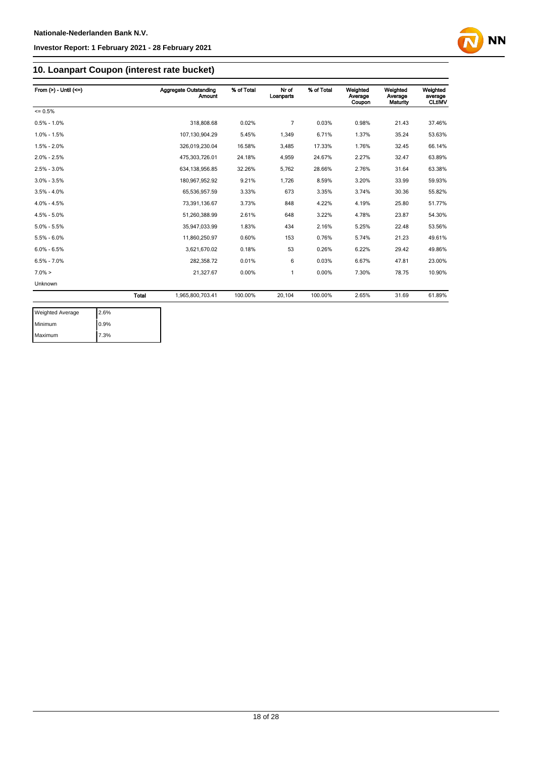

## **10. Loanpart Coupon (interest rate bucket)**

| From $(>) -$ Until $(<=)$ |              | <b>Aggregate Outstanding</b><br><b>Amount</b> | % of Total | Nr of<br>Loanparts | % of Total | Weighted<br>Average<br>Coupon | Weighted<br>Average<br>Maturity | Weighted<br>average<br><b>CLtIMV</b> |
|---------------------------|--------------|-----------------------------------------------|------------|--------------------|------------|-------------------------------|---------------------------------|--------------------------------------|
| $= 0.5%$                  |              |                                               |            |                    |            |                               |                                 |                                      |
| $0.5\% - 1.0\%$           |              | 318,808.68                                    | 0.02%      | 7                  | 0.03%      | 0.98%                         | 21.43                           | 37.46%                               |
| $1.0\% - 1.5\%$           |              | 107,130,904.29                                | 5.45%      | 1,349              | 6.71%      | 1.37%                         | 35.24                           | 53.63%                               |
| $1.5\% - 2.0\%$           |              | 326.019.230.04                                | 16.58%     | 3,485              | 17.33%     | 1.76%                         | 32.45                           | 66.14%                               |
| $2.0\% - 2.5\%$           |              | 475,303,726.01                                | 24.18%     | 4,959              | 24.67%     | 2.27%                         | 32.47                           | 63.89%                               |
| $2.5\% - 3.0\%$           |              | 634, 138, 956.85                              | 32.26%     | 5,762              | 28.66%     | 2.76%                         | 31.64                           | 63.38%                               |
| $3.0\% - 3.5\%$           |              | 180,967,952.92                                | 9.21%      | 1,726              | 8.59%      | 3.20%                         | 33.99                           | 59.93%                               |
| $3.5\% - 4.0\%$           |              | 65,536,957.59                                 | 3.33%      | 673                | 3.35%      | 3.74%                         | 30.36                           | 55.82%                               |
| $4.0\% - 4.5\%$           |              | 73,391,136.67                                 | 3.73%      | 848                | 4.22%      | 4.19%                         | 25.80                           | 51.77%                               |
| $4.5\% - 5.0\%$           |              | 51.260.388.99                                 | 2.61%      | 648                | 3.22%      | 4.78%                         | 23.87                           | 54.30%                               |
| $5.0\% - 5.5\%$           |              | 35,947,033.99                                 | 1.83%      | 434                | 2.16%      | 5.25%                         | 22.48                           | 53.56%                               |
| $5.5\% - 6.0\%$           |              | 11,860,250.97                                 | 0.60%      | 153                | 0.76%      | 5.74%                         | 21.23                           | 49.61%                               |
| $6.0\% - 6.5\%$           |              | 3,621,670.02                                  | 0.18%      | 53                 | 0.26%      | 6.22%                         | 29.42                           | 49.86%                               |
| $6.5\% - 7.0\%$           |              | 282,358.72                                    | 0.01%      | 6                  | 0.03%      | 6.67%                         | 47.81                           | 23.00%                               |
| $7.0\% >$                 |              | 21,327.67                                     | 0.00%      | 1                  | 0.00%      | 7.30%                         | 78.75                           | 10.90%                               |
| Unknown                   |              |                                               |            |                    |            |                               |                                 |                                      |
|                           | <b>Total</b> | 1,965,800,703.41                              | 100.00%    | 20,104             | 100.00%    | 2.65%                         | 31.69                           | 61.89%                               |

| <b>Weighted Average</b> | 2.6%  |
|-------------------------|-------|
| Minimum                 | 10.9% |
| Maximum                 | 7.3%  |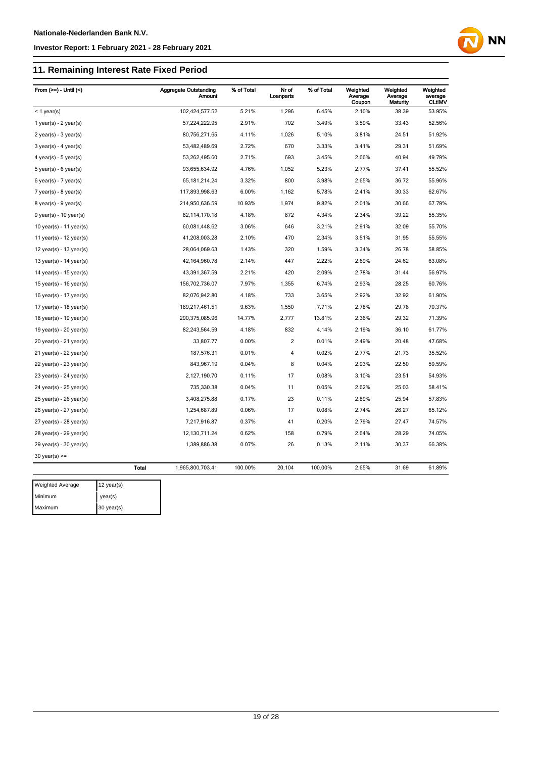Maximum 30 year(s)

#### **Investor Report: 1 February 2021 - 28 February 2021**

## **11. Remaining Interest Rate Fixed Period**

| 102,424,577.52<br>5.21%<br>1,296<br>6.45%<br>2.10%<br>38.39<br>53.95%<br>$<$ 1 year(s)<br>2.91%<br>702<br>3.49%<br>3.59%<br>57,224,222.95<br>33.43<br>52.56%<br>1 year(s) - $2$ year(s)<br>80,756,271.65<br>4.11%<br>1,026<br>5.10%<br>3.81%<br>24.51<br>51.92%<br>$2$ year(s) - $3$ year(s)<br>2.72%<br>670<br>3.33%<br>3.41%<br>51.69%<br>53,482,489.69<br>29.31<br>$3$ year(s) - 4 year(s)<br>2.71%<br>693<br>3.45%<br>2.66%<br>40.94<br>49.79%<br>53,262,495.60<br>$4$ year(s) - $5$ year(s)<br>4.76%<br>1,052<br>5.23%<br>2.77%<br>55.52%<br>93,655,634.92<br>37.41<br>$5$ year(s) - 6 year(s)<br>800<br>3.98%<br>2.65%<br>36.72<br>55.96%<br>$6$ year(s) - 7 year(s)<br>65, 181, 214. 24<br>3.32%<br>117,893,998.63<br>6.00%<br>1,162<br>5.78%<br>2.41%<br>30.33<br>62.67%<br>$7$ year(s) - 8 year(s)<br>67.79%<br>214,950,636.59<br>10.93%<br>1,974<br>9.82%<br>2.01%<br>30.66<br>$8$ year(s) - $9$ year(s)<br>82,114,170.18<br>4.18%<br>872<br>4.34%<br>2.34%<br>39.22<br>55.35%<br>$9$ year(s) - 10 year(s)<br>55.70%<br>60,081,448.62<br>3.06%<br>646<br>3.21%<br>2.91%<br>32.09<br>10 year(s) - 11 year(s)<br>55.55%<br>41,208,003.28<br>2.10%<br>470<br>2.34%<br>3.51%<br>31.95<br>11 year(s) - $12$ year(s)<br>28,064,069.63<br>1.43%<br>320<br>1.59%<br>3.34%<br>26.78<br>58.85%<br>12 year(s) - 13 year(s)<br>63.08%<br>42, 164, 960. 78<br>2.14%<br>447<br>2.22%<br>2.69%<br>24.62<br>13 year(s) - $14$ year(s)<br>43,391,367.59<br>2.21%<br>420<br>2.09%<br>2.78%<br>31.44<br>56.97%<br>14 year(s) - $15$ year(s)<br>156,702,736.07<br>7.97%<br>1,355<br>6.74%<br>2.93%<br>28.25<br>60.76%<br>15 year(s) - 16 year(s)<br>82,076,942.80<br>733<br>2.92%<br>16 year(s) - $17$ year(s)<br>4.18%<br>3.65%<br>32.92<br>61.90%<br>189,217,461.51<br>9.63%<br>1,550<br>2.78%<br>29.78<br>70.37%<br>17 year(s) - $18$ year(s)<br>7.71%<br>290,375,085.96<br>14.77%<br>2,777<br>13.81%<br>2.36%<br>29.32<br>71.39%<br>18 year(s) - 19 year(s)<br>82,243,564.59<br>4.18%<br>832<br>4.14%<br>2.19%<br>36.10<br>61.77%<br>19 year(s) - $20$ year(s)<br>$\overline{2}$<br>33,807.77<br>0.00%<br>0.01%<br>2.49%<br>20.48<br>47.68%<br>$20$ year(s) - 21 year(s)<br>$\overline{\mathbf{4}}$<br>35.52%<br>21 year(s) - 22 year(s)<br>187,576.31<br>0.01%<br>0.02%<br>2.77%<br>21.73<br>843,967.19<br>0.04%<br>8<br>0.04%<br>2.93%<br>22.50<br>59.59%<br>22 year(s) - 23 year(s)<br>2,127,190.70<br>17<br>0.08%<br>3.10%<br>54.93%<br>0.11%<br>23.51<br>23 year(s) - 24 year(s)<br>0.05%<br>24 year(s) - 25 year(s)<br>735,330.38<br>0.04%<br>11<br>2.62%<br>25.03<br>58.41%<br>3,408,275.88<br>23<br>0.11%<br>2.89%<br>25.94<br>57.83%<br>25 year(s) - 26 year(s)<br>0.17%<br>0.06%<br>17<br>0.08%<br>2.74%<br>26.27<br>65.12%<br>26 year(s) - 27 year(s)<br>1,254,687.89<br>7,217,916.87<br>0.37%<br>41<br>0.20%<br>2.79%<br>27.47<br>74.57%<br>$27$ year(s) - $28$ year(s)<br>12, 130, 711.24<br>0.62%<br>158<br>0.79%<br>2.64%<br>28.29<br>74.05%<br>$28$ year(s) - $29$ year(s)<br>1,389,886.38<br>0.07%<br>26<br>0.13%<br>2.11%<br>30.37<br>66.38%<br>$29$ year(s) - 30 year(s)<br>$30$ year(s) $>=$<br><b>Total</b><br>100.00%<br>20,104<br>100.00%<br>2.65%<br>31.69<br>61.89%<br>1,965,800,703.41<br><b>Weighted Average</b><br>12 year(s) | From $(>=)$ - Until $($ | <b>Aggregate Outstanding</b><br><b>Amount</b> | % of Total | Nr of<br>Loanparts | % of Total | Weighted<br>Average<br>Coupon | Weighted<br>Average<br><b>Maturity</b> | Weighted<br>average<br><b>CLtIMV</b> |
|-----------------------------------------------------------------------------------------------------------------------------------------------------------------------------------------------------------------------------------------------------------------------------------------------------------------------------------------------------------------------------------------------------------------------------------------------------------------------------------------------------------------------------------------------------------------------------------------------------------------------------------------------------------------------------------------------------------------------------------------------------------------------------------------------------------------------------------------------------------------------------------------------------------------------------------------------------------------------------------------------------------------------------------------------------------------------------------------------------------------------------------------------------------------------------------------------------------------------------------------------------------------------------------------------------------------------------------------------------------------------------------------------------------------------------------------------------------------------------------------------------------------------------------------------------------------------------------------------------------------------------------------------------------------------------------------------------------------------------------------------------------------------------------------------------------------------------------------------------------------------------------------------------------------------------------------------------------------------------------------------------------------------------------------------------------------------------------------------------------------------------------------------------------------------------------------------------------------------------------------------------------------------------------------------------------------------------------------------------------------------------------------------------------------------------------------------------------------------------------------------------------------------------------------------------------------------------------------------------------------------------------------------------------------------------------------------------------------------------------------------------------------------------------------------------------------------------------------------------------------------------------------------------------------------------------------------------------------------------------------------------------------------------------------------------------------------------------------------------------------------------------------------------------------------------------------------------------------------------------------------------|-------------------------|-----------------------------------------------|------------|--------------------|------------|-------------------------------|----------------------------------------|--------------------------------------|
|                                                                                                                                                                                                                                                                                                                                                                                                                                                                                                                                                                                                                                                                                                                                                                                                                                                                                                                                                                                                                                                                                                                                                                                                                                                                                                                                                                                                                                                                                                                                                                                                                                                                                                                                                                                                                                                                                                                                                                                                                                                                                                                                                                                                                                                                                                                                                                                                                                                                                                                                                                                                                                                                                                                                                                                                                                                                                                                                                                                                                                                                                                                                                                                                                                                     |                         |                                               |            |                    |            |                               |                                        |                                      |
|                                                                                                                                                                                                                                                                                                                                                                                                                                                                                                                                                                                                                                                                                                                                                                                                                                                                                                                                                                                                                                                                                                                                                                                                                                                                                                                                                                                                                                                                                                                                                                                                                                                                                                                                                                                                                                                                                                                                                                                                                                                                                                                                                                                                                                                                                                                                                                                                                                                                                                                                                                                                                                                                                                                                                                                                                                                                                                                                                                                                                                                                                                                                                                                                                                                     |                         |                                               |            |                    |            |                               |                                        |                                      |
|                                                                                                                                                                                                                                                                                                                                                                                                                                                                                                                                                                                                                                                                                                                                                                                                                                                                                                                                                                                                                                                                                                                                                                                                                                                                                                                                                                                                                                                                                                                                                                                                                                                                                                                                                                                                                                                                                                                                                                                                                                                                                                                                                                                                                                                                                                                                                                                                                                                                                                                                                                                                                                                                                                                                                                                                                                                                                                                                                                                                                                                                                                                                                                                                                                                     |                         |                                               |            |                    |            |                               |                                        |                                      |
|                                                                                                                                                                                                                                                                                                                                                                                                                                                                                                                                                                                                                                                                                                                                                                                                                                                                                                                                                                                                                                                                                                                                                                                                                                                                                                                                                                                                                                                                                                                                                                                                                                                                                                                                                                                                                                                                                                                                                                                                                                                                                                                                                                                                                                                                                                                                                                                                                                                                                                                                                                                                                                                                                                                                                                                                                                                                                                                                                                                                                                                                                                                                                                                                                                                     |                         |                                               |            |                    |            |                               |                                        |                                      |
|                                                                                                                                                                                                                                                                                                                                                                                                                                                                                                                                                                                                                                                                                                                                                                                                                                                                                                                                                                                                                                                                                                                                                                                                                                                                                                                                                                                                                                                                                                                                                                                                                                                                                                                                                                                                                                                                                                                                                                                                                                                                                                                                                                                                                                                                                                                                                                                                                                                                                                                                                                                                                                                                                                                                                                                                                                                                                                                                                                                                                                                                                                                                                                                                                                                     |                         |                                               |            |                    |            |                               |                                        |                                      |
|                                                                                                                                                                                                                                                                                                                                                                                                                                                                                                                                                                                                                                                                                                                                                                                                                                                                                                                                                                                                                                                                                                                                                                                                                                                                                                                                                                                                                                                                                                                                                                                                                                                                                                                                                                                                                                                                                                                                                                                                                                                                                                                                                                                                                                                                                                                                                                                                                                                                                                                                                                                                                                                                                                                                                                                                                                                                                                                                                                                                                                                                                                                                                                                                                                                     |                         |                                               |            |                    |            |                               |                                        |                                      |
|                                                                                                                                                                                                                                                                                                                                                                                                                                                                                                                                                                                                                                                                                                                                                                                                                                                                                                                                                                                                                                                                                                                                                                                                                                                                                                                                                                                                                                                                                                                                                                                                                                                                                                                                                                                                                                                                                                                                                                                                                                                                                                                                                                                                                                                                                                                                                                                                                                                                                                                                                                                                                                                                                                                                                                                                                                                                                                                                                                                                                                                                                                                                                                                                                                                     |                         |                                               |            |                    |            |                               |                                        |                                      |
|                                                                                                                                                                                                                                                                                                                                                                                                                                                                                                                                                                                                                                                                                                                                                                                                                                                                                                                                                                                                                                                                                                                                                                                                                                                                                                                                                                                                                                                                                                                                                                                                                                                                                                                                                                                                                                                                                                                                                                                                                                                                                                                                                                                                                                                                                                                                                                                                                                                                                                                                                                                                                                                                                                                                                                                                                                                                                                                                                                                                                                                                                                                                                                                                                                                     |                         |                                               |            |                    |            |                               |                                        |                                      |
|                                                                                                                                                                                                                                                                                                                                                                                                                                                                                                                                                                                                                                                                                                                                                                                                                                                                                                                                                                                                                                                                                                                                                                                                                                                                                                                                                                                                                                                                                                                                                                                                                                                                                                                                                                                                                                                                                                                                                                                                                                                                                                                                                                                                                                                                                                                                                                                                                                                                                                                                                                                                                                                                                                                                                                                                                                                                                                                                                                                                                                                                                                                                                                                                                                                     |                         |                                               |            |                    |            |                               |                                        |                                      |
|                                                                                                                                                                                                                                                                                                                                                                                                                                                                                                                                                                                                                                                                                                                                                                                                                                                                                                                                                                                                                                                                                                                                                                                                                                                                                                                                                                                                                                                                                                                                                                                                                                                                                                                                                                                                                                                                                                                                                                                                                                                                                                                                                                                                                                                                                                                                                                                                                                                                                                                                                                                                                                                                                                                                                                                                                                                                                                                                                                                                                                                                                                                                                                                                                                                     |                         |                                               |            |                    |            |                               |                                        |                                      |
|                                                                                                                                                                                                                                                                                                                                                                                                                                                                                                                                                                                                                                                                                                                                                                                                                                                                                                                                                                                                                                                                                                                                                                                                                                                                                                                                                                                                                                                                                                                                                                                                                                                                                                                                                                                                                                                                                                                                                                                                                                                                                                                                                                                                                                                                                                                                                                                                                                                                                                                                                                                                                                                                                                                                                                                                                                                                                                                                                                                                                                                                                                                                                                                                                                                     |                         |                                               |            |                    |            |                               |                                        |                                      |
|                                                                                                                                                                                                                                                                                                                                                                                                                                                                                                                                                                                                                                                                                                                                                                                                                                                                                                                                                                                                                                                                                                                                                                                                                                                                                                                                                                                                                                                                                                                                                                                                                                                                                                                                                                                                                                                                                                                                                                                                                                                                                                                                                                                                                                                                                                                                                                                                                                                                                                                                                                                                                                                                                                                                                                                                                                                                                                                                                                                                                                                                                                                                                                                                                                                     |                         |                                               |            |                    |            |                               |                                        |                                      |
|                                                                                                                                                                                                                                                                                                                                                                                                                                                                                                                                                                                                                                                                                                                                                                                                                                                                                                                                                                                                                                                                                                                                                                                                                                                                                                                                                                                                                                                                                                                                                                                                                                                                                                                                                                                                                                                                                                                                                                                                                                                                                                                                                                                                                                                                                                                                                                                                                                                                                                                                                                                                                                                                                                                                                                                                                                                                                                                                                                                                                                                                                                                                                                                                                                                     |                         |                                               |            |                    |            |                               |                                        |                                      |
|                                                                                                                                                                                                                                                                                                                                                                                                                                                                                                                                                                                                                                                                                                                                                                                                                                                                                                                                                                                                                                                                                                                                                                                                                                                                                                                                                                                                                                                                                                                                                                                                                                                                                                                                                                                                                                                                                                                                                                                                                                                                                                                                                                                                                                                                                                                                                                                                                                                                                                                                                                                                                                                                                                                                                                                                                                                                                                                                                                                                                                                                                                                                                                                                                                                     |                         |                                               |            |                    |            |                               |                                        |                                      |
|                                                                                                                                                                                                                                                                                                                                                                                                                                                                                                                                                                                                                                                                                                                                                                                                                                                                                                                                                                                                                                                                                                                                                                                                                                                                                                                                                                                                                                                                                                                                                                                                                                                                                                                                                                                                                                                                                                                                                                                                                                                                                                                                                                                                                                                                                                                                                                                                                                                                                                                                                                                                                                                                                                                                                                                                                                                                                                                                                                                                                                                                                                                                                                                                                                                     |                         |                                               |            |                    |            |                               |                                        |                                      |
|                                                                                                                                                                                                                                                                                                                                                                                                                                                                                                                                                                                                                                                                                                                                                                                                                                                                                                                                                                                                                                                                                                                                                                                                                                                                                                                                                                                                                                                                                                                                                                                                                                                                                                                                                                                                                                                                                                                                                                                                                                                                                                                                                                                                                                                                                                                                                                                                                                                                                                                                                                                                                                                                                                                                                                                                                                                                                                                                                                                                                                                                                                                                                                                                                                                     |                         |                                               |            |                    |            |                               |                                        |                                      |
|                                                                                                                                                                                                                                                                                                                                                                                                                                                                                                                                                                                                                                                                                                                                                                                                                                                                                                                                                                                                                                                                                                                                                                                                                                                                                                                                                                                                                                                                                                                                                                                                                                                                                                                                                                                                                                                                                                                                                                                                                                                                                                                                                                                                                                                                                                                                                                                                                                                                                                                                                                                                                                                                                                                                                                                                                                                                                                                                                                                                                                                                                                                                                                                                                                                     |                         |                                               |            |                    |            |                               |                                        |                                      |
|                                                                                                                                                                                                                                                                                                                                                                                                                                                                                                                                                                                                                                                                                                                                                                                                                                                                                                                                                                                                                                                                                                                                                                                                                                                                                                                                                                                                                                                                                                                                                                                                                                                                                                                                                                                                                                                                                                                                                                                                                                                                                                                                                                                                                                                                                                                                                                                                                                                                                                                                                                                                                                                                                                                                                                                                                                                                                                                                                                                                                                                                                                                                                                                                                                                     |                         |                                               |            |                    |            |                               |                                        |                                      |
|                                                                                                                                                                                                                                                                                                                                                                                                                                                                                                                                                                                                                                                                                                                                                                                                                                                                                                                                                                                                                                                                                                                                                                                                                                                                                                                                                                                                                                                                                                                                                                                                                                                                                                                                                                                                                                                                                                                                                                                                                                                                                                                                                                                                                                                                                                                                                                                                                                                                                                                                                                                                                                                                                                                                                                                                                                                                                                                                                                                                                                                                                                                                                                                                                                                     |                         |                                               |            |                    |            |                               |                                        |                                      |
|                                                                                                                                                                                                                                                                                                                                                                                                                                                                                                                                                                                                                                                                                                                                                                                                                                                                                                                                                                                                                                                                                                                                                                                                                                                                                                                                                                                                                                                                                                                                                                                                                                                                                                                                                                                                                                                                                                                                                                                                                                                                                                                                                                                                                                                                                                                                                                                                                                                                                                                                                                                                                                                                                                                                                                                                                                                                                                                                                                                                                                                                                                                                                                                                                                                     |                         |                                               |            |                    |            |                               |                                        |                                      |
|                                                                                                                                                                                                                                                                                                                                                                                                                                                                                                                                                                                                                                                                                                                                                                                                                                                                                                                                                                                                                                                                                                                                                                                                                                                                                                                                                                                                                                                                                                                                                                                                                                                                                                                                                                                                                                                                                                                                                                                                                                                                                                                                                                                                                                                                                                                                                                                                                                                                                                                                                                                                                                                                                                                                                                                                                                                                                                                                                                                                                                                                                                                                                                                                                                                     |                         |                                               |            |                    |            |                               |                                        |                                      |
|                                                                                                                                                                                                                                                                                                                                                                                                                                                                                                                                                                                                                                                                                                                                                                                                                                                                                                                                                                                                                                                                                                                                                                                                                                                                                                                                                                                                                                                                                                                                                                                                                                                                                                                                                                                                                                                                                                                                                                                                                                                                                                                                                                                                                                                                                                                                                                                                                                                                                                                                                                                                                                                                                                                                                                                                                                                                                                                                                                                                                                                                                                                                                                                                                                                     |                         |                                               |            |                    |            |                               |                                        |                                      |
|                                                                                                                                                                                                                                                                                                                                                                                                                                                                                                                                                                                                                                                                                                                                                                                                                                                                                                                                                                                                                                                                                                                                                                                                                                                                                                                                                                                                                                                                                                                                                                                                                                                                                                                                                                                                                                                                                                                                                                                                                                                                                                                                                                                                                                                                                                                                                                                                                                                                                                                                                                                                                                                                                                                                                                                                                                                                                                                                                                                                                                                                                                                                                                                                                                                     |                         |                                               |            |                    |            |                               |                                        |                                      |
|                                                                                                                                                                                                                                                                                                                                                                                                                                                                                                                                                                                                                                                                                                                                                                                                                                                                                                                                                                                                                                                                                                                                                                                                                                                                                                                                                                                                                                                                                                                                                                                                                                                                                                                                                                                                                                                                                                                                                                                                                                                                                                                                                                                                                                                                                                                                                                                                                                                                                                                                                                                                                                                                                                                                                                                                                                                                                                                                                                                                                                                                                                                                                                                                                                                     |                         |                                               |            |                    |            |                               |                                        |                                      |
|                                                                                                                                                                                                                                                                                                                                                                                                                                                                                                                                                                                                                                                                                                                                                                                                                                                                                                                                                                                                                                                                                                                                                                                                                                                                                                                                                                                                                                                                                                                                                                                                                                                                                                                                                                                                                                                                                                                                                                                                                                                                                                                                                                                                                                                                                                                                                                                                                                                                                                                                                                                                                                                                                                                                                                                                                                                                                                                                                                                                                                                                                                                                                                                                                                                     |                         |                                               |            |                    |            |                               |                                        |                                      |
|                                                                                                                                                                                                                                                                                                                                                                                                                                                                                                                                                                                                                                                                                                                                                                                                                                                                                                                                                                                                                                                                                                                                                                                                                                                                                                                                                                                                                                                                                                                                                                                                                                                                                                                                                                                                                                                                                                                                                                                                                                                                                                                                                                                                                                                                                                                                                                                                                                                                                                                                                                                                                                                                                                                                                                                                                                                                                                                                                                                                                                                                                                                                                                                                                                                     |                         |                                               |            |                    |            |                               |                                        |                                      |
|                                                                                                                                                                                                                                                                                                                                                                                                                                                                                                                                                                                                                                                                                                                                                                                                                                                                                                                                                                                                                                                                                                                                                                                                                                                                                                                                                                                                                                                                                                                                                                                                                                                                                                                                                                                                                                                                                                                                                                                                                                                                                                                                                                                                                                                                                                                                                                                                                                                                                                                                                                                                                                                                                                                                                                                                                                                                                                                                                                                                                                                                                                                                                                                                                                                     |                         |                                               |            |                    |            |                               |                                        |                                      |
|                                                                                                                                                                                                                                                                                                                                                                                                                                                                                                                                                                                                                                                                                                                                                                                                                                                                                                                                                                                                                                                                                                                                                                                                                                                                                                                                                                                                                                                                                                                                                                                                                                                                                                                                                                                                                                                                                                                                                                                                                                                                                                                                                                                                                                                                                                                                                                                                                                                                                                                                                                                                                                                                                                                                                                                                                                                                                                                                                                                                                                                                                                                                                                                                                                                     |                         |                                               |            |                    |            |                               |                                        |                                      |
|                                                                                                                                                                                                                                                                                                                                                                                                                                                                                                                                                                                                                                                                                                                                                                                                                                                                                                                                                                                                                                                                                                                                                                                                                                                                                                                                                                                                                                                                                                                                                                                                                                                                                                                                                                                                                                                                                                                                                                                                                                                                                                                                                                                                                                                                                                                                                                                                                                                                                                                                                                                                                                                                                                                                                                                                                                                                                                                                                                                                                                                                                                                                                                                                                                                     |                         |                                               |            |                    |            |                               |                                        |                                      |
|                                                                                                                                                                                                                                                                                                                                                                                                                                                                                                                                                                                                                                                                                                                                                                                                                                                                                                                                                                                                                                                                                                                                                                                                                                                                                                                                                                                                                                                                                                                                                                                                                                                                                                                                                                                                                                                                                                                                                                                                                                                                                                                                                                                                                                                                                                                                                                                                                                                                                                                                                                                                                                                                                                                                                                                                                                                                                                                                                                                                                                                                                                                                                                                                                                                     |                         |                                               |            |                    |            |                               |                                        |                                      |
|                                                                                                                                                                                                                                                                                                                                                                                                                                                                                                                                                                                                                                                                                                                                                                                                                                                                                                                                                                                                                                                                                                                                                                                                                                                                                                                                                                                                                                                                                                                                                                                                                                                                                                                                                                                                                                                                                                                                                                                                                                                                                                                                                                                                                                                                                                                                                                                                                                                                                                                                                                                                                                                                                                                                                                                                                                                                                                                                                                                                                                                                                                                                                                                                                                                     |                         |                                               |            |                    |            |                               |                                        |                                      |
|                                                                                                                                                                                                                                                                                                                                                                                                                                                                                                                                                                                                                                                                                                                                                                                                                                                                                                                                                                                                                                                                                                                                                                                                                                                                                                                                                                                                                                                                                                                                                                                                                                                                                                                                                                                                                                                                                                                                                                                                                                                                                                                                                                                                                                                                                                                                                                                                                                                                                                                                                                                                                                                                                                                                                                                                                                                                                                                                                                                                                                                                                                                                                                                                                                                     |                         |                                               |            |                    |            |                               |                                        |                                      |
|                                                                                                                                                                                                                                                                                                                                                                                                                                                                                                                                                                                                                                                                                                                                                                                                                                                                                                                                                                                                                                                                                                                                                                                                                                                                                                                                                                                                                                                                                                                                                                                                                                                                                                                                                                                                                                                                                                                                                                                                                                                                                                                                                                                                                                                                                                                                                                                                                                                                                                                                                                                                                                                                                                                                                                                                                                                                                                                                                                                                                                                                                                                                                                                                                                                     |                         |                                               |            |                    |            |                               |                                        |                                      |
| Minimum<br>year(s)                                                                                                                                                                                                                                                                                                                                                                                                                                                                                                                                                                                                                                                                                                                                                                                                                                                                                                                                                                                                                                                                                                                                                                                                                                                                                                                                                                                                                                                                                                                                                                                                                                                                                                                                                                                                                                                                                                                                                                                                                                                                                                                                                                                                                                                                                                                                                                                                                                                                                                                                                                                                                                                                                                                                                                                                                                                                                                                                                                                                                                                                                                                                                                                                                                  |                         |                                               |            |                    |            |                               |                                        |                                      |

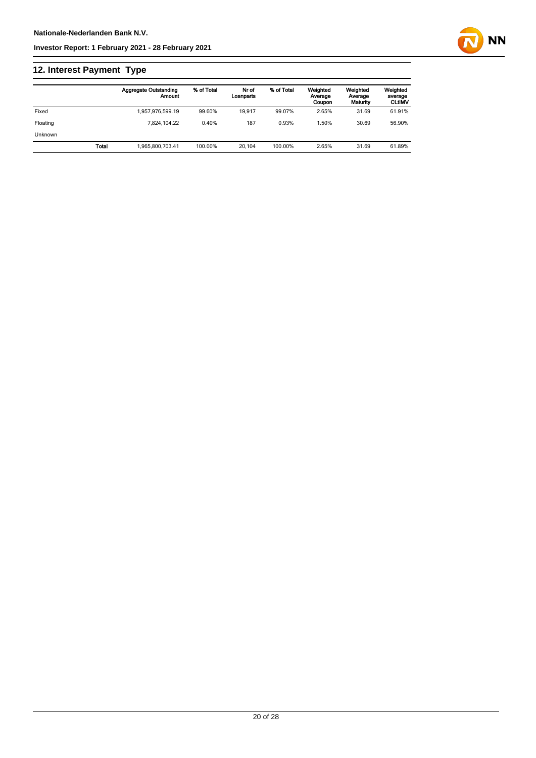## **12. Interest Payment Type**

|                |       | <b>Aggregate Outstanding</b><br>Amount | % of Total | Nr of<br>Loanparts | % of Total | Weighted<br>Average<br>Coupon | Weighted<br>Average<br>Maturity | Weighted<br>average<br><b>CLtIMV</b> |
|----------------|-------|----------------------------------------|------------|--------------------|------------|-------------------------------|---------------------------------|--------------------------------------|
| Fixed          |       | 1,957,976,599.19                       | 99.60%     | 19.917             | 99.07%     | 2.65%                         | 31.69                           | 61.91%                               |
| Floating       |       | 7.824.104.22                           | 0.40%      | 187                | 0.93%      | .50%                          | 30.69                           | 56.90%                               |
| <b>Unknown</b> |       |                                        |            |                    |            |                               |                                 |                                      |
|                | Total | 1.965.800.703.41                       | 100.00%    | 20.104             | 100.00%    | 2.65%                         | 31.69                           | 61.89%                               |

**NN**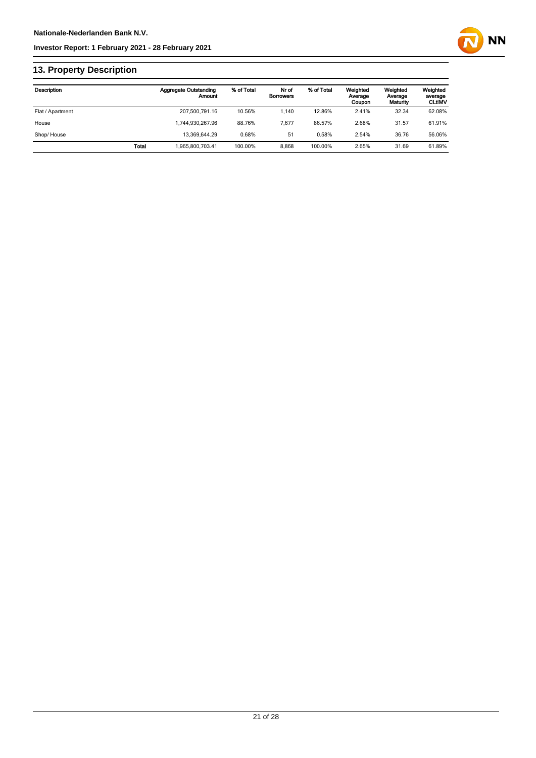

## **13. Property Description**

| Description      |              | <b>Aggregate Outstanding</b><br>Amount | % of Total | Nr of<br><b>Borrowers</b> | % of Total | Weighted<br>Average<br>Coupon | Weighted<br>Average<br>Maturity | Weighted<br>average<br><b>CLtIMV</b> |
|------------------|--------------|----------------------------------------|------------|---------------------------|------------|-------------------------------|---------------------------------|--------------------------------------|
| Flat / Apartment |              | 207,500,791.16                         | 10.56%     | 1.140                     | 12.86%     | 2.41%                         | 32.34                           | 62.08%                               |
| House            |              | 1.744.930.267.96                       | 88.76%     | 7.677                     | 86.57%     | 2.68%                         | 31.57                           | 61.91%                               |
| Shop/House       |              | 13.369.644.29                          | 0.68%      | 51                        | 0.58%      | 2.54%                         | 36.76                           | 56.06%                               |
|                  | <b>Total</b> | 1.965.800.703.41                       | 100.00%    | 8.868                     | 100.00%    | 2.65%                         | 31.69                           | 61.89%                               |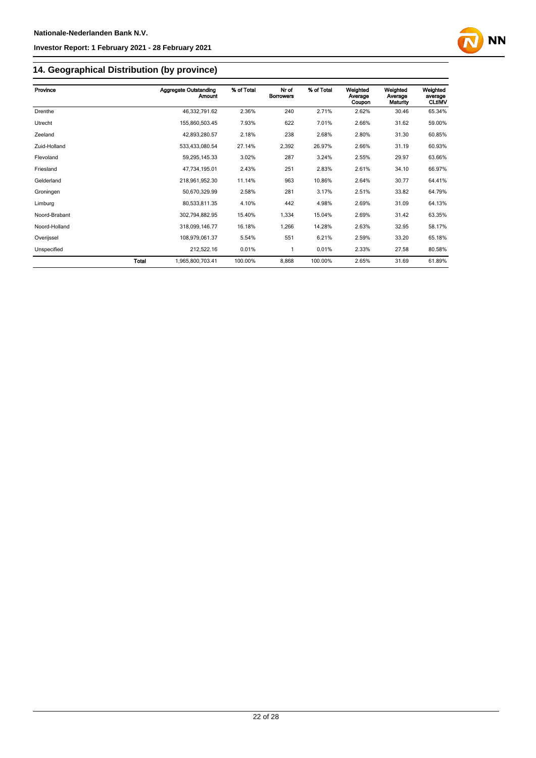

## **14. Geographical Distribution (by province)**

| Province      | <b>Aggregate Outstanding</b> | % of Total<br>Amount | Nr of<br><b>Borrowers</b> | % of Total | Weighted<br>Average<br>Coupon | Weighted<br>Average<br>Maturity | Weighted<br>average<br><b>CLtIMV</b> |
|---------------|------------------------------|----------------------|---------------------------|------------|-------------------------------|---------------------------------|--------------------------------------|
| Drenthe       | 46,332,791.62                | 2.36%                | 240                       | 2.71%      | 2.62%                         | 30.46                           | 65.34%                               |
| Utrecht       | 155,860,503.45               | 7.93%                | 622                       | 7.01%      | 2.66%                         | 31.62                           | 59.00%                               |
| Zeeland       | 42,893,280.57                | 2.18%                | 238                       | 2.68%      | 2.80%                         | 31.30                           | 60.85%                               |
| Zuid-Holland  | 533,433,080.54               | 27.14%               | 2,392                     | 26.97%     | 2.66%                         | 31.19                           | 60.93%                               |
| Flevoland     | 59,295,145.33                | 3.02%                | 287                       | 3.24%      | 2.55%                         | 29.97                           | 63.66%                               |
| Friesland     | 47,734,195.01                | 2.43%                | 251                       | 2.83%      | 2.61%                         | 34.10                           | 66.97%                               |
| Gelderland    | 218,961,952.30               | 11.14%               | 963                       | 10.86%     | 2.64%                         | 30.77                           | 64.41%                               |
| Groningen     | 50,670,329.99                | 2.58%                | 281                       | 3.17%      | 2.51%                         | 33.82                           | 64.79%                               |
| Limburg       | 80,533,811.35                | 4.10%                | 442                       | 4.98%      | 2.69%                         | 31.09                           | 64.13%                               |
| Noord-Brabant | 302,794,882.95               | 15.40%               | 1,334                     | 15.04%     | 2.69%                         | 31.42                           | 63.35%                               |
| Noord-Holland | 318,099,146.77               | 16.18%               | 1,266                     | 14.28%     | 2.63%                         | 32.95                           | 58.17%                               |
| Overijssel    | 108,979,061.37               | 5.54%                | 551                       | 6.21%      | 2.59%                         | 33.20                           | 65.18%                               |
| Unspecified   | 212,522.16                   | 0.01%                | 1                         | 0.01%      | 2.33%                         | 27.58                           | 80.58%                               |
|               | Total<br>1,965,800,703.41    | 100.00%              | 8,868                     | 100.00%    | 2.65%                         | 31.69                           | 61.89%                               |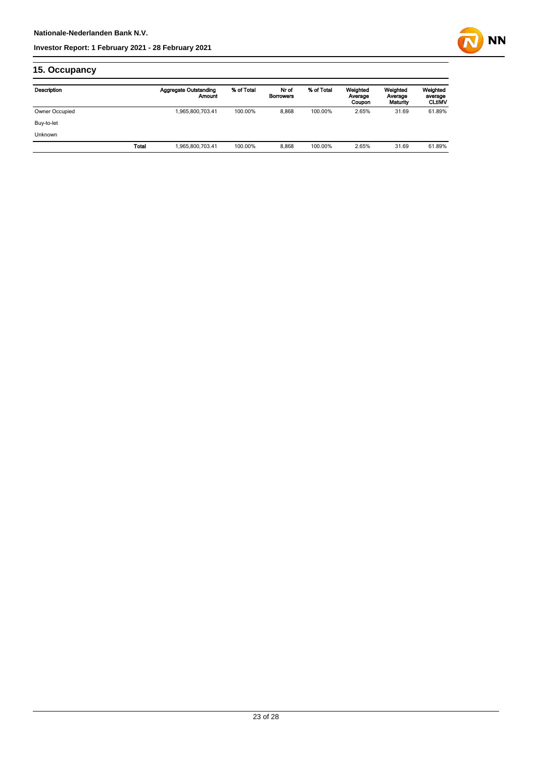

## **15. Occupancy**

| Description    | <b>Aggregate Outstanding</b><br>Amount | % of Total | Nr of<br><b>Borrowers</b> | % of Total | Weighted<br>Average<br>Coupon | Weighted<br>Average<br>Maturity | Weighted<br>average<br><b>CLtIMV</b> |
|----------------|----------------------------------------|------------|---------------------------|------------|-------------------------------|---------------------------------|--------------------------------------|
| Owner Occupied | 1,965,800,703.41                       | 100.00%    | 8,868                     | 100.00%    | 2.65%                         | 31.69                           | 61.89%                               |
| Buy-to-let     |                                        |            |                           |            |                               |                                 |                                      |
| Unknown        |                                        |            |                           |            |                               |                                 |                                      |
| Total          | 1,965,800,703.41                       | 100.00%    | 8,868                     | 100.00%    | 2.65%                         | 31.69                           | 61.89%                               |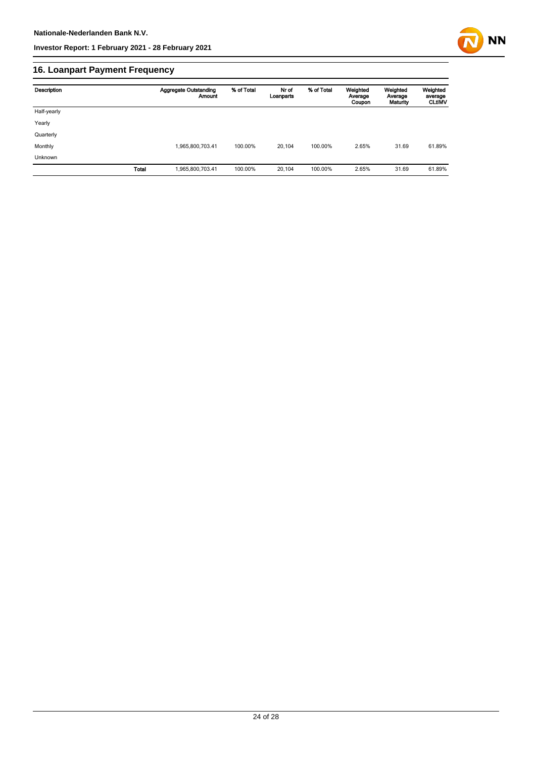

## **16. Loanpart Payment Frequency**

| Description | <b>Aggregate Outstanding</b><br><b>Amount</b> | % of Total | Nr of<br>Loanparts | % of Total | Weighted<br>Average<br>Coupon | Weighted<br>Average<br>Maturity | Weighted<br>average<br><b>CLtIMV</b> |
|-------------|-----------------------------------------------|------------|--------------------|------------|-------------------------------|---------------------------------|--------------------------------------|
| Half-yearly |                                               |            |                    |            |                               |                                 |                                      |
| Yearly      |                                               |            |                    |            |                               |                                 |                                      |
| Quarterly   |                                               |            |                    |            |                               |                                 |                                      |
| Monthly     | 1,965,800,703.41                              | 100.00%    | 20.104             | 100.00%    | 2.65%                         | 31.69                           | 61.89%                               |
| Unknown     |                                               |            |                    |            |                               |                                 |                                      |
|             | Total<br>1,965,800,703.41                     | 100.00%    | 20,104             | 100.00%    | 2.65%                         | 31.69                           | 61.89%                               |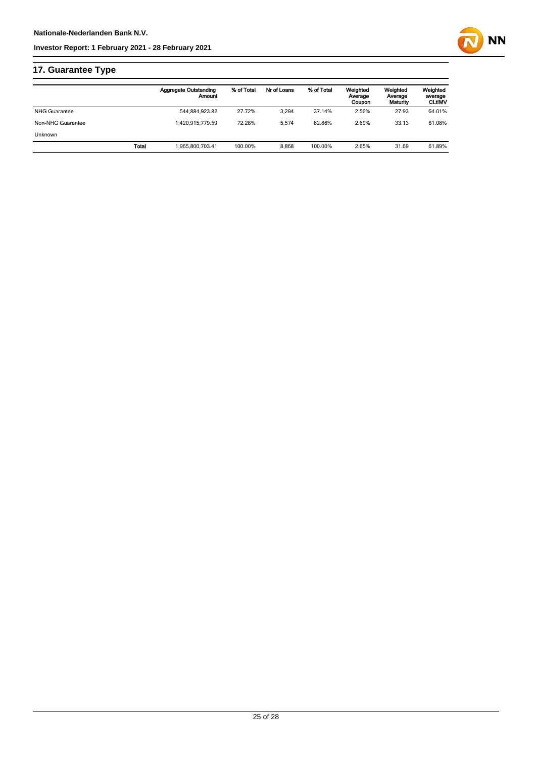

## **17. Guarantee Type**

|                      | <b>Aggregate Outstanding</b><br>Amount | % of Total | Nr of Loans | % of Total | Weighted<br>Average<br>Coupon | Weighted<br>Average<br>Maturity | Weighted<br>average<br><b>CLtIMV</b> |
|----------------------|----------------------------------------|------------|-------------|------------|-------------------------------|---------------------------------|--------------------------------------|
| <b>NHG Guarantee</b> | 544,884,923.82                         | 27.72%     | 3.294       | 37.14%     | 2.56%                         | 27.93                           | 64.01%                               |
| Non-NHG Guarantee    | 1.420.915.779.59                       | 72.28%     | 5.574       | 62.86%     | 2.69%                         | 33.13                           | 61.08%                               |
| <b>Unknown</b>       |                                        |            |             |            |                               |                                 |                                      |
|                      | Total<br>1.965.800.703.41              | 100.00%    | 8.868       | 100.00%    | 2.65%                         | 31.69                           | 61.89%                               |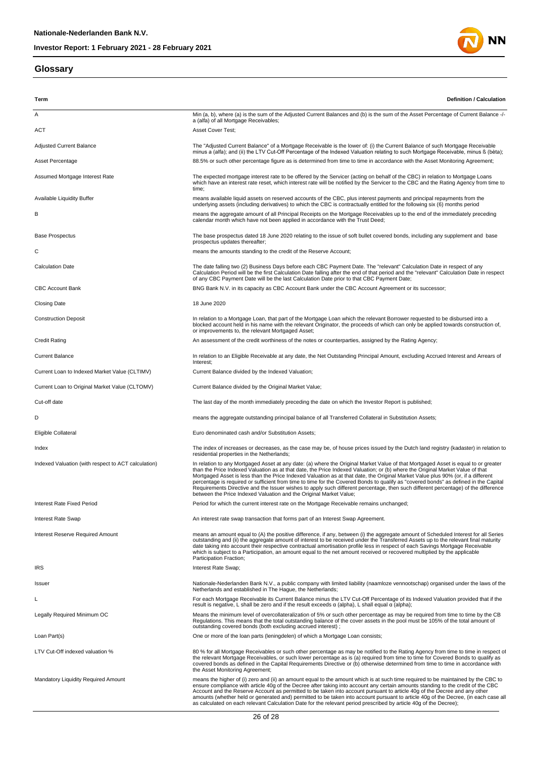#### **Glossary**



**Term Definition / Calculation** A Min (a, b), where (a) is the sum of the Adjusted Current Balances and (b) is the sum of the Asset Percentage of Current Balance -/a (alfa) of all Mortgage Receivables; ACT Asset Cover Test; Adjusted Current Balance Mortgage Receivable (Adjusted Current Balance" of a Mortgage Receivable is the lower of: (i) the Current Balance of such Mortgage Receivable<br>minus a (alfa); and (ii) the LTV Cut-Off Percentage of t Asset Percentage entity and the S8.5% or such other percentage figure as is determined from time to time in accordance with the Asset Monitoring Agreement; Assumed Mortgage Interest Rate The expected mortgage interest rate to be offered by the Servicer (acting on behalf of the CBC) in relation to Mortgage Loans which have an interest rate reset, which interest rate will be notified by the Servicer to the CBC and the Rating Agency from time to time; means available liquid assets on reserved accounts of the CBC, plus interest payments and principal repayments from the<br>underlying assets (including derivatives) to which the CBC is contractually entitled for the following B means the aggregate amount of all Principal Receipts on the Mortgage Receivables up to the end of the immediately preceding calendar month which have not been applied in accordance with the Trust Deed; Base Prospectus The base prospectus dated 18 June 2020 relating to the issue of soft bullet covered bonds, including any supplement and base prospectus updates thereafter; C means the amounts standing to the credit of the Reserve Account; The date falling two (2) Business Days before each CBC Payment Date. The "relevant" Calculation Date in respect of any<br>Calculation Period will be the first Calculation Date falling after the end of that period and the "rel of any CBC Payment Date will be the last Calculation Date prior to that CBC Payment Date; CBC Account Bank Bank Book Bank BOO Bank N.V. in its capacity as CBC Account Bank under the CBC Account Agreement or its successor; Closing Date 18 June 2020 Construction Deposit **In relation to a Mortgage Loan**, that part of the Mortgage Loan which the relevant Borrower requested to be disbursed into a blocked account held in his name with the relevant Originator, the proceeds of which can only be applied towards construction of, or improvements to, the relevant Mortgaged Asset; Credit Rating **An assessment of the credit worthiness of the notes or counterparties, assigned by the Rating Agency;** Current Balance **In relation to an Eligible Receivable at any date**, the Net Outstanding Principal Amount, excluding Accrued Interest and Arrears of **Interest** Current Loan to Indexed Market Value (CLTIMV) Current Balance divided by the Indexed Valuation; Current Loan to Original Market Value (CLTOMV) Current Balance divided by the Original Market Value; Cut-off date The last day of the month immediately preceding the date on which the Investor Report is published; D means the aggregate outstanding principal balance of all Transferred Collateral in Substitution Assets; Eligible Collateral Euro denominated cash and/or Substitution Assets; Index The index of increases or decreases, as the case may be, of house prices issued by the Dutch land registry (kadaster) in relation to residential properties in the Netherlands; In relation to any Mortgaged Asset at any date: (a) where the Original Market Value of that Mortgaged Asset is equal to or greater<br>than the Price Indexed Valuation as at that date, the Price Indexed Valuation, or (b) where percentage is required or sufficient from time to time for the Covered Bonds to qualify as "covered bonds" as defined in the Capital<br>Requirements Directive and the Issuer wishes to apply such different percentage, then suc Interest Rate Fixed Period Period **Period For the Current interest rate on the Mortgage Receivable remains unchanged** Interest Rate Swap **An interest rate swap transaction that forms part of an Interest Swap Agreement.** Interest Reserve Required Amount (A) the positive difference, if any, between (i) the aggregate amount of Scheduled Interest for all Series<br>outstanding and (ii) the aggregate amount of interest to be received under the str which is subject to a Participation, an amount equal to the net amount received or recovered multiplied by the applicable when is subject to a t **IRS** IRS INTEREST RATE SWAP Issuer the Nationale-Nederlanden Bank N.V., a public company with limited liability (naamloze vennootschap) organised under the laws of the Netherlands and established in The Hague, the Netherlands; For each Mortgage Receivable its Current Balance minus the LTV Cut-Off Percentage of its Indexed Valuation provided that if the result is negative, L shall be zero and if the result exceeds α (alpha), L shall equal α (alpha); Legally Required Minimum OC Means the minimum level of overcollateralization of 5% or such other percentage as may be required from time to time by the CB Regulations. This means that the total outstanding balance of the cover assets in the pool must be 105% of the total amount of outstanding covered bonds (both excluding accrued interest) ; Loan Part(s) **Community** Community Communists; One or more of the loan parts (leningdelen) of which a Mortgage Loan consists; 80% for all Mortgage Receivables or such other percentage as may be notified to the Rating Agency from time to time in respect of<br>the relevant Mortgage Receivables, or such lower percentage as is (a) required from time to covered bonds as defined in the Capital Requirements Directive or (b) otherwise determined from time to time in accordance with the Asset Monitoring Agreement; Mandatory Liquidity Required Amount<br>ensure compliance with article 40g of the change incompliance with a mount which is at such time required to be maintained by the CBC to<br>ensure compliance with article 40g of the Serve a as calculated on each relevant Calculation Date for the relevant period prescribed by article 40g of the Decree);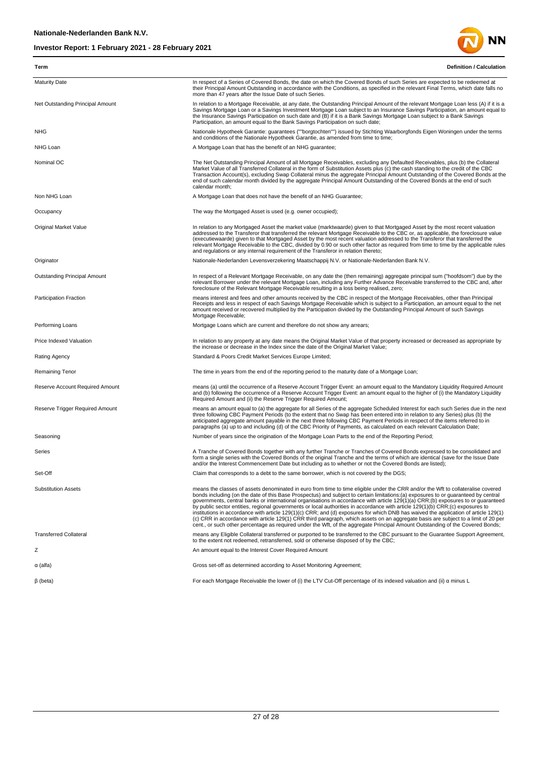

| Term                                | <b>Definition / Calculation</b>                                                                                                                                                                                                                                                                                                                                                                                                                                                                                                                                                                                                                                                                                                                                                                                                                                                                                                                            |
|-------------------------------------|------------------------------------------------------------------------------------------------------------------------------------------------------------------------------------------------------------------------------------------------------------------------------------------------------------------------------------------------------------------------------------------------------------------------------------------------------------------------------------------------------------------------------------------------------------------------------------------------------------------------------------------------------------------------------------------------------------------------------------------------------------------------------------------------------------------------------------------------------------------------------------------------------------------------------------------------------------|
| <b>Maturity Date</b>                | In respect of a Series of Covered Bonds, the date on which the Covered Bonds of such Series are expected to be redeemed at<br>their Principal Amount Outstanding in accordance with the Conditions, as specified in the relevant Final Terms, which date falls no<br>more than 47 years after the Issue Date of such Series.                                                                                                                                                                                                                                                                                                                                                                                                                                                                                                                                                                                                                               |
| Net Outstanding Principal Amount    | In relation to a Mortgage Receivable, at any date, the Outstanding Principal Amount of the relevant Mortgage Loan less (A) if it is a<br>Savings Mortgage Loan or a Savings Investment Mortgage Loan subject to an Insurance Savings Participation, an amount equal to<br>the Insurance Savings Participation on such date and (B) if it is a Bank Savings Mortgage Loan subject to a Bank Savings<br>Participation, an amount equal to the Bank Savings Participation on such date;                                                                                                                                                                                                                                                                                                                                                                                                                                                                       |
| <b>NHG</b>                          | Nationale Hypotheek Garantie: guarantees (""borgtochten"") issued by Stichting Waarborgfonds Eigen Woningen under the terms<br>and conditions of the Nationale Hypotheek Garantie, as amended from time to time;                                                                                                                                                                                                                                                                                                                                                                                                                                                                                                                                                                                                                                                                                                                                           |
| NHG Loan                            | A Mortgage Loan that has the benefit of an NHG guarantee;                                                                                                                                                                                                                                                                                                                                                                                                                                                                                                                                                                                                                                                                                                                                                                                                                                                                                                  |
| Nominal OC                          | The Net Outstanding Principal Amount of all Mortgage Receivables, excluding any Defaulted Receivables, plus (b) the Collateral<br>Market Value of all Transferred Collateral in the form of Substitution Assets plus (c) the cash standing to the credit of the CBC<br>Transaction Account(s), excluding Swap Collateral minus the aggregate Principal Amount Outstanding of the Covered Bonds at the<br>end of such calendar month divided by the aggregate Principal Amount Outstanding of the Covered Bonds at the end of such<br>calendar month;                                                                                                                                                                                                                                                                                                                                                                                                       |
| Non NHG Loan                        | A Mortgage Loan that does not have the benefit of an NHG Guarantee;                                                                                                                                                                                                                                                                                                                                                                                                                                                                                                                                                                                                                                                                                                                                                                                                                                                                                        |
| Occupancy                           | The way the Mortgaged Asset is used (e.g. owner occupied);                                                                                                                                                                                                                                                                                                                                                                                                                                                                                                                                                                                                                                                                                                                                                                                                                                                                                                 |
| <b>Original Market Value</b>        | In relation to any Mortgaged Asset the market value (marktwaarde) given to that Mortgaged Asset by the most recent valuation<br>addressed to the Transferor that transferred the relevant Mortgage Receivable to the CBC or, as applicable, the foreclosure value<br>(executiewaarde) given to that Mortgaged Asset by the most recent valuation addressed to the Transferor that transferred the<br>relevant Mortgage Receivable to the CBC, divided by 0.90 or such other factor as required from time to time by the applicable rules<br>and regulations or any internal requirement of the Transferor in relation thereto;                                                                                                                                                                                                                                                                                                                             |
| Originator                          | Nationale-Nederlanden Levensverzekering Maatschappij N.V. or Nationale-Nederlanden Bank N.V.                                                                                                                                                                                                                                                                                                                                                                                                                                                                                                                                                                                                                                                                                                                                                                                                                                                               |
| <b>Outstanding Principal Amount</b> | In respect of a Relevant Mortgage Receivable, on any date the (then remaining) aggregate principal sum ("hoofdsom") due by the<br>relevant Borrower under the relevant Mortgage Loan, including any Further Advance Receivable transferred to the CBC and, after<br>foreclosure of the Relevant Mortgage Receivable resulting in a loss being realised, zero;                                                                                                                                                                                                                                                                                                                                                                                                                                                                                                                                                                                              |
| <b>Participation Fraction</b>       | means interest and fees and other amounts received by the CBC in respect of the Mortgage Receivables, other than Principal<br>Receipts and less in respect of each Savings Mortgage Receivable which is subject to a Participation, an amount equal to the net<br>amount received or recovered multiplied by the Participation divided by the Outstanding Principal Amount of such Savings<br>Mortgage Receivable;                                                                                                                                                                                                                                                                                                                                                                                                                                                                                                                                         |
| Performing Loans                    | Mortgage Loans which are current and therefore do not show any arrears;                                                                                                                                                                                                                                                                                                                                                                                                                                                                                                                                                                                                                                                                                                                                                                                                                                                                                    |
| Price Indexed Valuation             | In relation to any property at any date means the Original Market Value of that property increased or decreased as appropriate by<br>the increase or decrease in the Index since the date of the Original Market Value;                                                                                                                                                                                                                                                                                                                                                                                                                                                                                                                                                                                                                                                                                                                                    |
| <b>Rating Agency</b>                | Standard & Poors Credit Market Services Europe Limited;                                                                                                                                                                                                                                                                                                                                                                                                                                                                                                                                                                                                                                                                                                                                                                                                                                                                                                    |
| Remaining Tenor                     | The time in years from the end of the reporting period to the maturity date of a Mortgage Loan;                                                                                                                                                                                                                                                                                                                                                                                                                                                                                                                                                                                                                                                                                                                                                                                                                                                            |
| Reserve Account Required Amount     | means (a) until the occurrence of a Reserve Account Trigger Event: an amount equal to the Mandatory Liquidity Required Amount<br>and (b) following the occurrence of a Reserve Account Trigger Event: an amount equal to the higher of (i) the Mandatory Liquidity<br>Required Amount and (ii) the Reserve Trigger Required Amount;                                                                                                                                                                                                                                                                                                                                                                                                                                                                                                                                                                                                                        |
| Reserve Trigger Required Amount     | means an amount equal to (a) the aggregate for all Series of the aggregate Scheduled Interest for each such Series due in the next<br>three following CBC Payment Periods (to the extent that no Swap has been entered into in relation to any Series) plus (b) the<br>anticipated aggregate amount payable in the next three following CBC Payment Periods in respect of the items referred to in<br>paragraphs (a) up to and including (d) of the CBC Priority of Payments, as calculated on each relevant Calculation Date;                                                                                                                                                                                                                                                                                                                                                                                                                             |
| Seasoning                           | Number of years since the origination of the Mortgage Loan Parts to the end of the Reporting Period;                                                                                                                                                                                                                                                                                                                                                                                                                                                                                                                                                                                                                                                                                                                                                                                                                                                       |
| Series                              | A Tranche of Covered Bonds together with any further Tranche or Tranches of Covered Bonds expressed to be consolidated and<br>form a single series with the Covered Bonds of the original Tranche and the terms of which are identical (save for the Issue Date<br>and/or the Interest Commencement Date but including as to whether or not the Covered Bonds are listed);                                                                                                                                                                                                                                                                                                                                                                                                                                                                                                                                                                                 |
| Set-Off                             | Claim that corresponds to a debt to the same borrower, which is not covered by the DGS;                                                                                                                                                                                                                                                                                                                                                                                                                                                                                                                                                                                                                                                                                                                                                                                                                                                                    |
| <b>Substitution Assets</b>          | means the classes of assets denominated in euro from time to time eligible under the CRR and/or the Wft to collateralise covered<br>bonds including (on the date of this Base Prospectus) and subject to certain limitations:(a) exposures to or guaranteed by central<br>governments, central banks or international organisations in accordance with article 129(1)(a) CRR;(b) exposures to or guaranteed<br>by public sector entities, regional governments or local authorities in accordance with article 129(1)(b) CRR;(c) exposures to<br>institutions in accordance with article 129(1)(c) CRR; and (d) exposures for which DNB has waived the application of article 129(1)<br>(c) CRR in accordance with article 129(1) CRR third paragraph, which assets on an aggregate basis are subject to a limit of 20 per<br>cent or such other percentage as required under the Wft. of the aggregate Principal Amount Outstanding of the Covered Bonds: |
| <b>Transferred Collateral</b>       | means any Eligible Collateral transferred or purported to be transferred to the CBC pursuant to the Guarantee Support Agreement,<br>to the extent not redeemed, retransferred, sold or otherwise disposed of by the CBC;                                                                                                                                                                                                                                                                                                                                                                                                                                                                                                                                                                                                                                                                                                                                   |
| Ζ                                   | An amount equal to the Interest Cover Required Amount                                                                                                                                                                                                                                                                                                                                                                                                                                                                                                                                                                                                                                                                                                                                                                                                                                                                                                      |
| α (alfa)                            | Gross set-off as determined according to Asset Monitoring Agreement;                                                                                                                                                                                                                                                                                                                                                                                                                                                                                                                                                                                                                                                                                                                                                                                                                                                                                       |
| $\beta$ (beta)                      | For each Mortgage Receivable the lower of (i) the LTV Cut-Off percentage of its indexed valuation and (ii) $\alpha$ minus L                                                                                                                                                                                                                                                                                                                                                                                                                                                                                                                                                                                                                                                                                                                                                                                                                                |